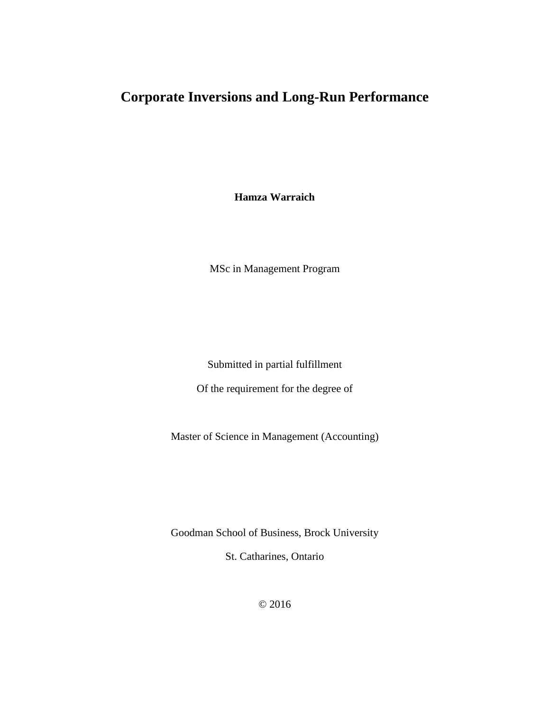# **Corporate Inversions and Long-Run Performance**

**Hamza Warraich**

MSc in Management Program

Submitted in partial fulfillment

Of the requirement for the degree of

Master of Science in Management (Accounting)

Goodman School of Business, Brock University

St. Catharines, Ontario

© 2016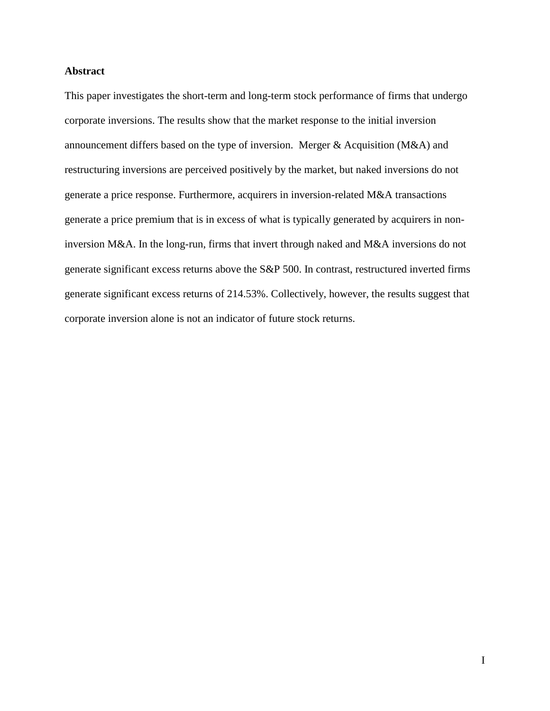### <span id="page-1-0"></span>**Abstract**

This paper investigates the short-term and long-term stock performance of firms that undergo corporate inversions. The results show that the market response to the initial inversion announcement differs based on the type of inversion. Merger & Acquisition (M&A) and restructuring inversions are perceived positively by the market, but naked inversions do not generate a price response. Furthermore, acquirers in inversion-related M&A transactions generate a price premium that is in excess of what is typically generated by acquirers in noninversion M&A. In the long-run, firms that invert through naked and M&A inversions do not generate significant excess returns above the S&P 500. In contrast, restructured inverted firms generate significant excess returns of 214.53%. Collectively, however, the results suggest that corporate inversion alone is not an indicator of future stock returns.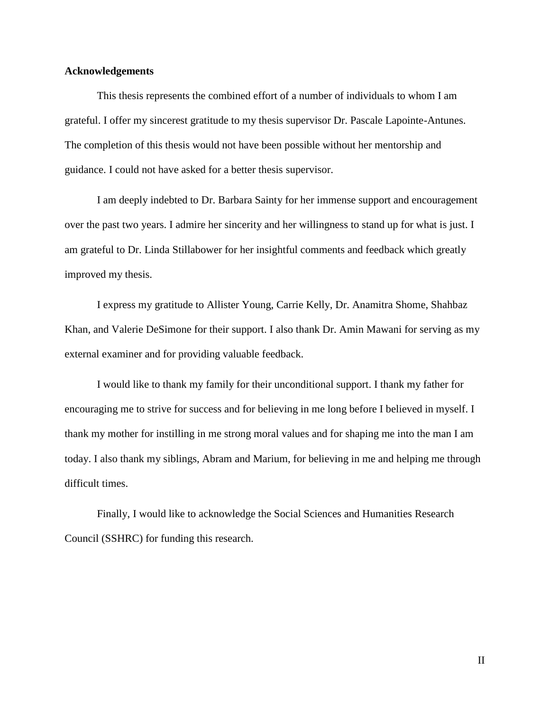#### <span id="page-2-0"></span>**Acknowledgements**

This thesis represents the combined effort of a number of individuals to whom I am grateful. I offer my sincerest gratitude to my thesis supervisor Dr. Pascale Lapointe-Antunes. The completion of this thesis would not have been possible without her mentorship and guidance. I could not have asked for a better thesis supervisor.

I am deeply indebted to Dr. Barbara Sainty for her immense support and encouragement over the past two years. I admire her sincerity and her willingness to stand up for what is just. I am grateful to Dr. Linda Stillabower for her insightful comments and feedback which greatly improved my thesis.

I express my gratitude to Allister Young, Carrie Kelly, Dr. Anamitra Shome, Shahbaz Khan, and Valerie DeSimone for their support. I also thank Dr. Amin Mawani for serving as my external examiner and for providing valuable feedback.

I would like to thank my family for their unconditional support. I thank my father for encouraging me to strive for success and for believing in me long before I believed in myself. I thank my mother for instilling in me strong moral values and for shaping me into the man I am today. I also thank my siblings, Abram and Marium, for believing in me and helping me through difficult times.

Finally, I would like to acknowledge the Social Sciences and Humanities Research Council (SSHRC) for funding this research.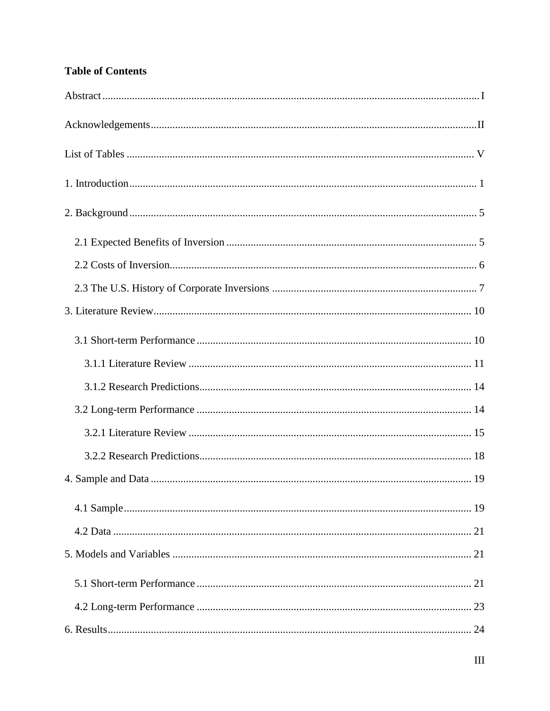# **Table of Contents**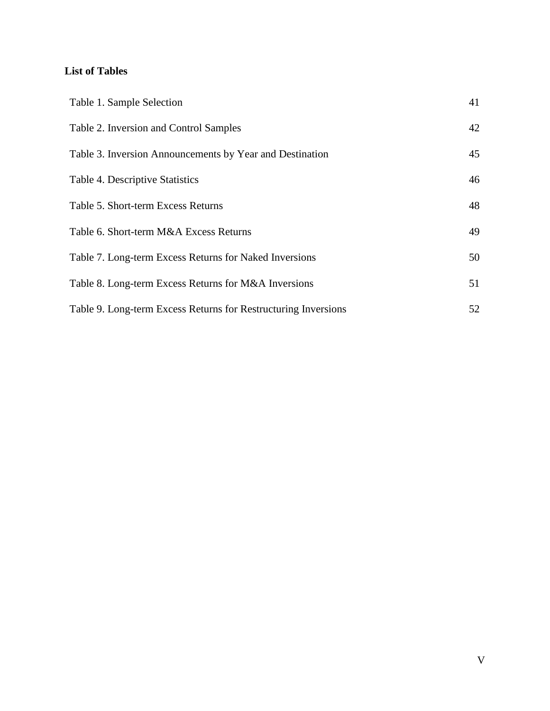# <span id="page-5-0"></span>**List of Tables**

| Table 1. Sample Selection                                      | 41 |
|----------------------------------------------------------------|----|
| Table 2. Inversion and Control Samples                         | 42 |
| Table 3. Inversion Announcements by Year and Destination       | 45 |
| Table 4. Descriptive Statistics                                | 46 |
| Table 5. Short-term Excess Returns                             | 48 |
| Table 6. Short-term M&A Excess Returns                         | 49 |
| Table 7. Long-term Excess Returns for Naked Inversions         | 50 |
| Table 8. Long-term Excess Returns for M&A Inversions           | 51 |
| Table 9. Long-term Excess Returns for Restructuring Inversions | 52 |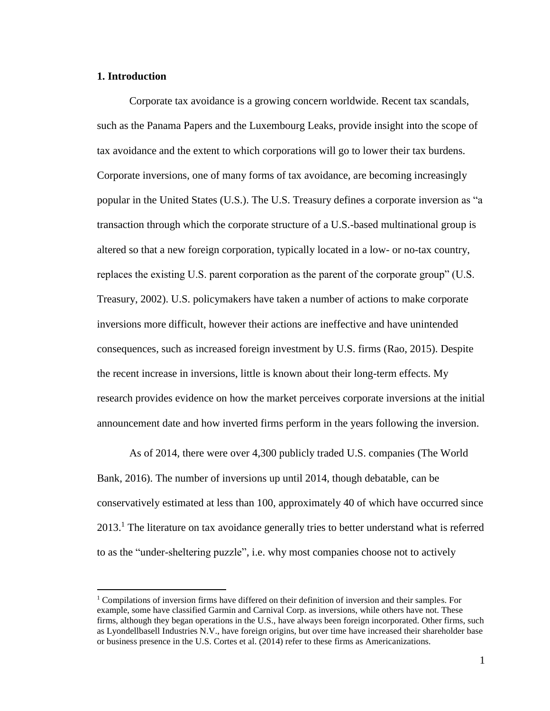#### <span id="page-6-0"></span>**1. Introduction**

 $\overline{a}$ 

Corporate tax avoidance is a growing concern worldwide. Recent tax scandals, such as the Panama Papers and the Luxembourg Leaks, provide insight into the scope of tax avoidance and the extent to which corporations will go to lower their tax burdens. Corporate inversions, one of many forms of tax avoidance, are becoming increasingly popular in the United States (U.S.). The U.S. Treasury defines a corporate inversion as "a transaction through which the corporate structure of a U.S.-based multinational group is altered so that a new foreign corporation, typically located in a low- or no-tax country, replaces the existing U.S. parent corporation as the parent of the corporate group" (U.S. Treasury, 2002). U.S. policymakers have taken a number of actions to make corporate inversions more difficult, however their actions are ineffective and have unintended consequences, such as increased foreign investment by U.S. firms (Rao, 2015). Despite the recent increase in inversions, little is known about their long-term effects. My research provides evidence on how the market perceives corporate inversions at the initial announcement date and how inverted firms perform in the years following the inversion.

As of 2014, there were over 4,300 publicly traded U.S. companies (The World Bank, 2016). The number of inversions up until 2014, though debatable, can be conservatively estimated at less than 100, approximately 40 of which have occurred since 2013.<sup>1</sup> The literature on tax avoidance generally tries to better understand what is referred to as the "under-sheltering puzzle", i.e. why most companies choose not to actively

 $1$  Compilations of inversion firms have differed on their definition of inversion and their samples. For example, some have classified Garmin and Carnival Corp. as inversions, while others have not. These firms, although they began operations in the U.S., have always been foreign incorporated. Other firms, such as Lyondellbasell Industries N.V., have foreign origins, but over time have increased their shareholder base or business presence in the U.S. Cortes et al. (2014) refer to these firms as Americanizations.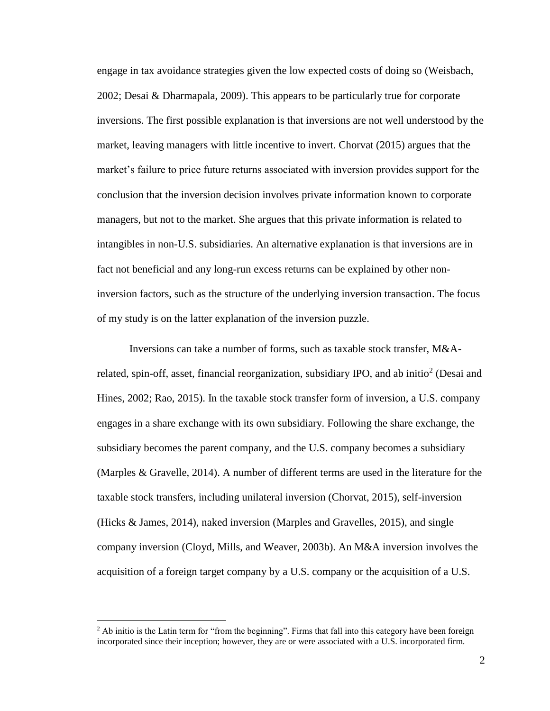engage in tax avoidance strategies given the low expected costs of doing so (Weisbach, 2002; Desai & Dharmapala, 2009). This appears to be particularly true for corporate inversions. The first possible explanation is that inversions are not well understood by the market, leaving managers with little incentive to invert. Chorvat (2015) argues that the market's failure to price future returns associated with inversion provides support for the conclusion that the inversion decision involves private information known to corporate managers, but not to the market. She argues that this private information is related to intangibles in non-U.S. subsidiaries. An alternative explanation is that inversions are in fact not beneficial and any long-run excess returns can be explained by other noninversion factors, such as the structure of the underlying inversion transaction. The focus of my study is on the latter explanation of the inversion puzzle.

Inversions can take a number of forms, such as taxable stock transfer, M&Arelated, spin-off, asset, financial reorganization, subsidiary IPO, and ab initio<sup>2</sup> (Desai and Hines, 2002; Rao, 2015). In the taxable stock transfer form of inversion, a U.S. company engages in a share exchange with its own subsidiary. Following the share exchange, the subsidiary becomes the parent company, and the U.S. company becomes a subsidiary (Marples & Gravelle, 2014). A number of different terms are used in the literature for the taxable stock transfers, including unilateral inversion (Chorvat, 2015), self-inversion (Hicks & James, 2014), naked inversion (Marples and Gravelles, 2015), and single company inversion (Cloyd, Mills, and Weaver, 2003b). An M&A inversion involves the acquisition of a foreign target company by a U.S. company or the acquisition of a U.S.

 $\overline{a}$ 

<sup>&</sup>lt;sup>2</sup> Ab initio is the Latin term for "from the beginning". Firms that fall into this category have been foreign incorporated since their inception; however, they are or were associated with a U.S. incorporated firm.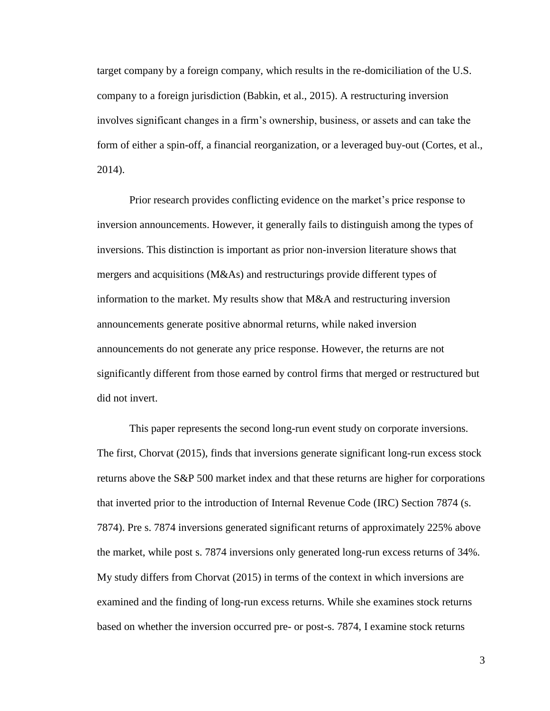target company by a foreign company, which results in the re-domiciliation of the U.S. company to a foreign jurisdiction (Babkin, et al., 2015). A restructuring inversion involves significant changes in a firm's ownership, business, or assets and can take the form of either a spin-off, a financial reorganization, or a leveraged buy-out (Cortes, et al., 2014).

Prior research provides conflicting evidence on the market's price response to inversion announcements. However, it generally fails to distinguish among the types of inversions. This distinction is important as prior non-inversion literature shows that mergers and acquisitions (M&As) and restructurings provide different types of information to the market. My results show that M&A and restructuring inversion announcements generate positive abnormal returns, while naked inversion announcements do not generate any price response. However, the returns are not significantly different from those earned by control firms that merged or restructured but did not invert.

This paper represents the second long-run event study on corporate inversions. The first, Chorvat (2015), finds that inversions generate significant long-run excess stock returns above the S&P 500 market index and that these returns are higher for corporations that inverted prior to the introduction of Internal Revenue Code (IRC) Section 7874 (s. 7874). Pre s. 7874 inversions generated significant returns of approximately 225% above the market, while post s. 7874 inversions only generated long-run excess returns of 34%. My study differs from Chorvat (2015) in terms of the context in which inversions are examined and the finding of long-run excess returns. While she examines stock returns based on whether the inversion occurred pre- or post-s. 7874, I examine stock returns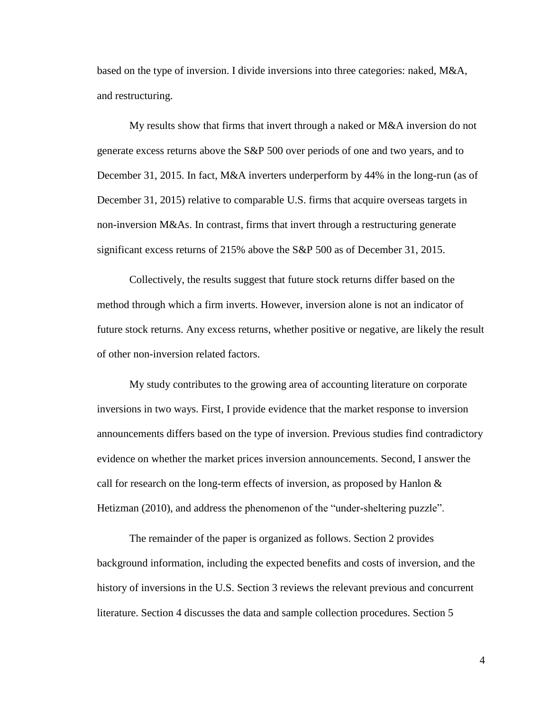based on the type of inversion. I divide inversions into three categories: naked, M&A, and restructuring.

My results show that firms that invert through a naked or M&A inversion do not generate excess returns above the S&P 500 over periods of one and two years, and to December 31, 2015. In fact, M&A inverters underperform by 44% in the long-run (as of December 31, 2015) relative to comparable U.S. firms that acquire overseas targets in non-inversion M&As. In contrast, firms that invert through a restructuring generate significant excess returns of 215% above the S&P 500 as of December 31, 2015.

Collectively, the results suggest that future stock returns differ based on the method through which a firm inverts. However, inversion alone is not an indicator of future stock returns. Any excess returns, whether positive or negative, are likely the result of other non-inversion related factors.

My study contributes to the growing area of accounting literature on corporate inversions in two ways. First, I provide evidence that the market response to inversion announcements differs based on the type of inversion. Previous studies find contradictory evidence on whether the market prices inversion announcements. Second, I answer the call for research on the long-term effects of inversion, as proposed by Hanlon & Hetizman (2010), and address the phenomenon of the "under-sheltering puzzle".

The remainder of the paper is organized as follows. Section 2 provides background information, including the expected benefits and costs of inversion, and the history of inversions in the U.S. Section 3 reviews the relevant previous and concurrent literature. Section 4 discusses the data and sample collection procedures. Section 5

4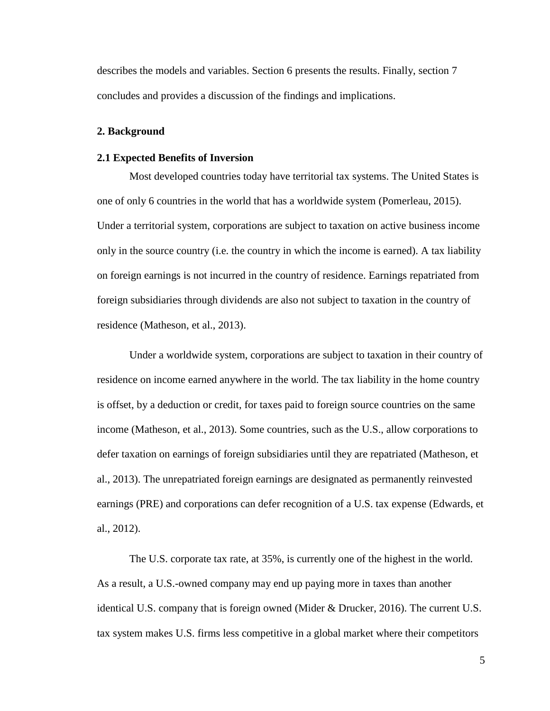describes the models and variables. Section 6 presents the results. Finally, section 7 concludes and provides a discussion of the findings and implications.

#### <span id="page-10-0"></span>**2. Background**

### <span id="page-10-1"></span>**2.1 Expected Benefits of Inversion**

Most developed countries today have territorial tax systems. The United States is one of only 6 countries in the world that has a worldwide system (Pomerleau, 2015). Under a territorial system, corporations are subject to taxation on active business income only in the source country (i.e. the country in which the income is earned). A tax liability on foreign earnings is not incurred in the country of residence. Earnings repatriated from foreign subsidiaries through dividends are also not subject to taxation in the country of residence (Matheson, et al., 2013).

Under a worldwide system, corporations are subject to taxation in their country of residence on income earned anywhere in the world. The tax liability in the home country is offset, by a deduction or credit, for taxes paid to foreign source countries on the same income (Matheson, et al., 2013). Some countries, such as the U.S., allow corporations to defer taxation on earnings of foreign subsidiaries until they are repatriated (Matheson, et al., 2013). The unrepatriated foreign earnings are designated as permanently reinvested earnings (PRE) and corporations can defer recognition of a U.S. tax expense (Edwards, et al., 2012).

The U.S. corporate tax rate, at 35%, is currently one of the highest in the world. As a result, a U.S.-owned company may end up paying more in taxes than another identical U.S. company that is foreign owned (Mider & Drucker, 2016). The current U.S. tax system makes U.S. firms less competitive in a global market where their competitors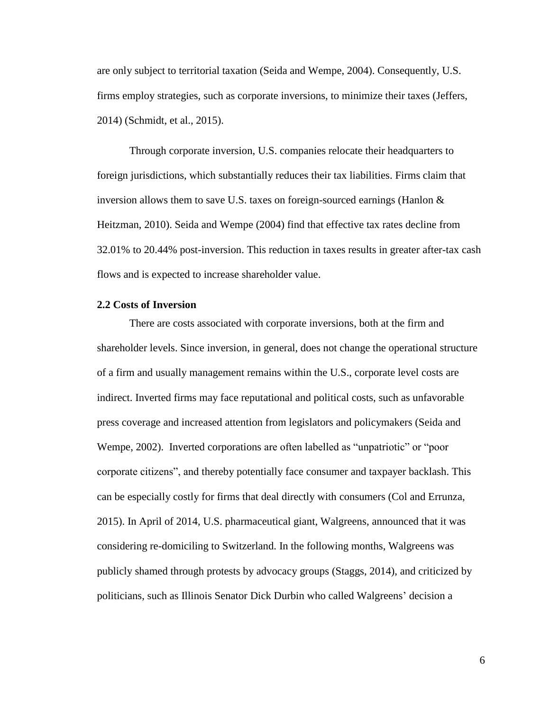are only subject to territorial taxation (Seida and Wempe, 2004). Consequently, U.S. firms employ strategies, such as corporate inversions, to minimize their taxes (Jeffers, 2014) (Schmidt, et al., 2015).

Through corporate inversion, U.S. companies relocate their headquarters to foreign jurisdictions, which substantially reduces their tax liabilities. Firms claim that inversion allows them to save U.S. taxes on foreign-sourced earnings (Hanlon & Heitzman, 2010). Seida and Wempe (2004) find that effective tax rates decline from 32.01% to 20.44% post-inversion. This reduction in taxes results in greater after-tax cash flows and is expected to increase shareholder value.

#### <span id="page-11-0"></span>**2.2 Costs of Inversion**

There are costs associated with corporate inversions, both at the firm and shareholder levels. Since inversion, in general, does not change the operational structure of a firm and usually management remains within the U.S., corporate level costs are indirect. Inverted firms may face reputational and political costs, such as unfavorable press coverage and increased attention from legislators and policymakers (Seida and Wempe, 2002). Inverted corporations are often labelled as "unpatriotic" or "poor corporate citizens", and thereby potentially face consumer and taxpayer backlash. This can be especially costly for firms that deal directly with consumers (Col and Errunza, 2015). In April of 2014, U.S. pharmaceutical giant, Walgreens, announced that it was considering re-domiciling to Switzerland. In the following months, Walgreens was publicly shamed through protests by advocacy groups (Staggs, 2014), and criticized by politicians, such as Illinois Senator Dick Durbin who called Walgreens' decision a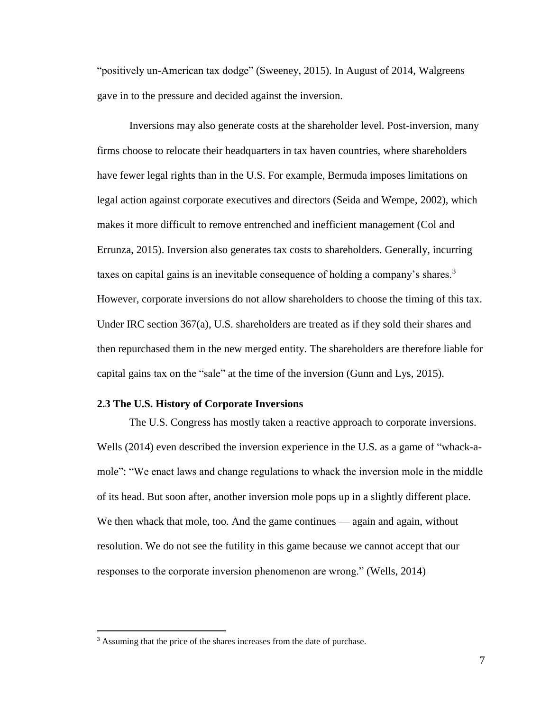"positively un-American tax dodge" (Sweeney, 2015). In August of 2014, Walgreens gave in to the pressure and decided against the inversion.

Inversions may also generate costs at the shareholder level. Post-inversion, many firms choose to relocate their headquarters in tax haven countries, where shareholders have fewer legal rights than in the U.S. For example, Bermuda imposes limitations on legal action against corporate executives and directors (Seida and Wempe, 2002), which makes it more difficult to remove entrenched and inefficient management (Col and Errunza, 2015). Inversion also generates tax costs to shareholders. Generally, incurring taxes on capital gains is an inevitable consequence of holding a company's shares.<sup>3</sup> However, corporate inversions do not allow shareholders to choose the timing of this tax. Under IRC section 367(a), U.S. shareholders are treated as if they sold their shares and then repurchased them in the new merged entity. The shareholders are therefore liable for capital gains tax on the "sale" at the time of the inversion (Gunn and Lys, 2015).

#### <span id="page-12-0"></span>**2.3 The U.S. History of Corporate Inversions**

The U.S. Congress has mostly taken a reactive approach to corporate inversions. Wells (2014) even described the inversion experience in the U.S. as a game of "whack-amole": "We enact laws and change regulations to whack the inversion mole in the middle of its head. But soon after, another inversion mole pops up in a slightly different place. We then whack that mole, too. And the game continues — again and again, without resolution. We do not see the futility in this game because we cannot accept that our responses to the corporate inversion phenomenon are wrong." (Wells, 2014)

 $\overline{a}$ 

<sup>&</sup>lt;sup>3</sup> Assuming that the price of the shares increases from the date of purchase.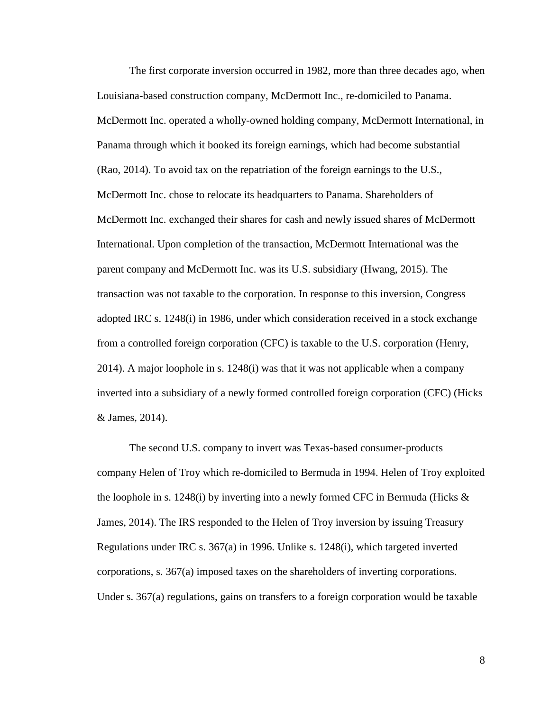The first corporate inversion occurred in 1982, more than three decades ago, when Louisiana-based construction company, McDermott Inc., re-domiciled to Panama. McDermott Inc. operated a wholly-owned holding company, McDermott International, in Panama through which it booked its foreign earnings, which had become substantial (Rao, 2014). To avoid tax on the repatriation of the foreign earnings to the U.S., McDermott Inc. chose to relocate its headquarters to Panama. Shareholders of McDermott Inc. exchanged their shares for cash and newly issued shares of McDermott International. Upon completion of the transaction, McDermott International was the parent company and McDermott Inc. was its U.S. subsidiary (Hwang, 2015). The transaction was not taxable to the corporation. In response to this inversion, Congress adopted IRC s. 1248(i) in 1986, under which consideration received in a stock exchange from a controlled foreign corporation (CFC) is taxable to the U.S. corporation (Henry, 2014). A major loophole in s. 1248(i) was that it was not applicable when a company inverted into a subsidiary of a newly formed controlled foreign corporation (CFC) (Hicks & James, 2014).

The second U.S. company to invert was Texas-based consumer-products company Helen of Troy which re-domiciled to Bermuda in 1994. Helen of Troy exploited the loophole in s. 1248(i) by inverting into a newly formed CFC in Bermuda (Hicks  $\&$ James, 2014). The IRS responded to the Helen of Troy inversion by issuing Treasury Regulations under IRC s. 367(a) in 1996. Unlike s. 1248(i), which targeted inverted corporations, s. 367(a) imposed taxes on the shareholders of inverting corporations. Under s. 367(a) regulations, gains on transfers to a foreign corporation would be taxable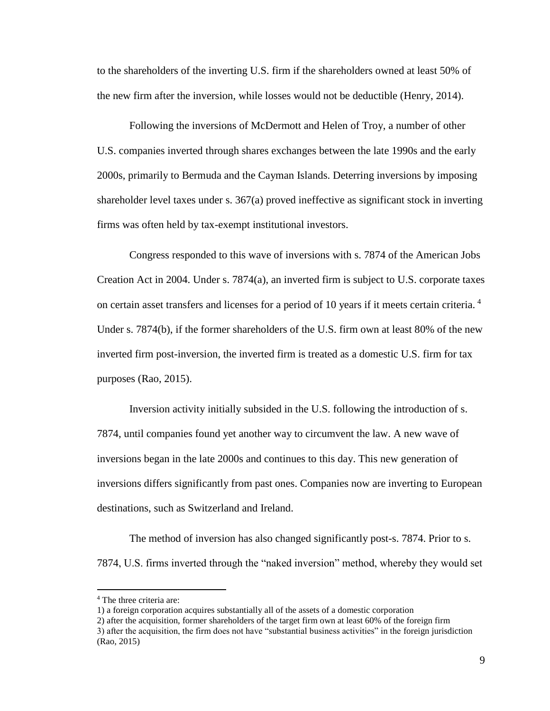to the shareholders of the inverting U.S. firm if the shareholders owned at least 50% of the new firm after the inversion, while losses would not be deductible (Henry, 2014).

Following the inversions of McDermott and Helen of Troy, a number of other U.S. companies inverted through shares exchanges between the late 1990s and the early 2000s, primarily to Bermuda and the Cayman Islands. Deterring inversions by imposing shareholder level taxes under s. 367(a) proved ineffective as significant stock in inverting firms was often held by tax-exempt institutional investors.

Congress responded to this wave of inversions with s. 7874 of the American Jobs Creation Act in 2004. Under s. 7874(a), an inverted firm is subject to U.S. corporate taxes on certain asset transfers and licenses for a period of 10 years if it meets certain criteria. <sup>4</sup> Under s. 7874(b), if the former shareholders of the U.S. firm own at least 80% of the new inverted firm post-inversion, the inverted firm is treated as a domestic U.S. firm for tax purposes (Rao, 2015).

Inversion activity initially subsided in the U.S. following the introduction of s. 7874, until companies found yet another way to circumvent the law. A new wave of inversions began in the late 2000s and continues to this day. This new generation of inversions differs significantly from past ones. Companies now are inverting to European destinations, such as Switzerland and Ireland.

The method of inversion has also changed significantly post-s. 7874. Prior to s. 7874, U.S. firms inverted through the "naked inversion" method, whereby they would set

 $\overline{a}$ 

<sup>4</sup> The three criteria are:

<sup>1)</sup> a foreign corporation acquires substantially all of the assets of a domestic corporation

<sup>2)</sup> after the acquisition, former shareholders of the target firm own at least 60% of the foreign firm

<sup>3)</sup> after the acquisition, the firm does not have "substantial business activities" in the foreign jurisdiction (Rao, 2015)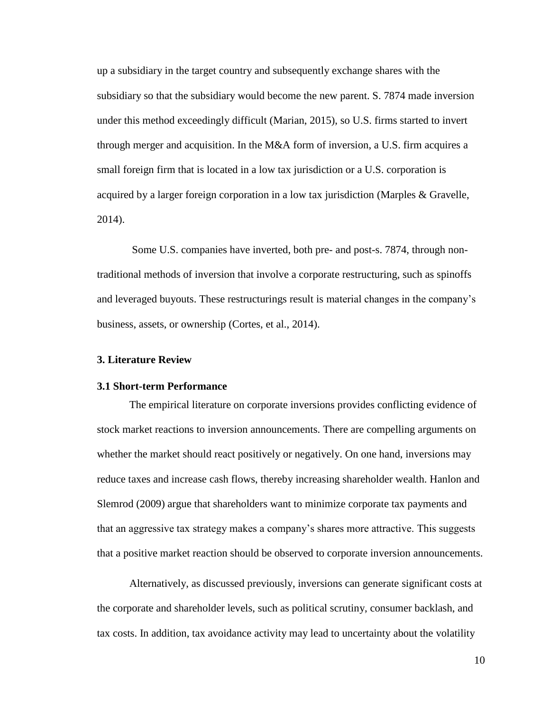up a subsidiary in the target country and subsequently exchange shares with the subsidiary so that the subsidiary would become the new parent. S. 7874 made inversion under this method exceedingly difficult (Marian, 2015), so U.S. firms started to invert through merger and acquisition. In the M&A form of inversion, a U.S. firm acquires a small foreign firm that is located in a low tax jurisdiction or a U.S. corporation is acquired by a larger foreign corporation in a low tax jurisdiction (Marples  $\&$  Gravelle, 2014).

Some U.S. companies have inverted, both pre- and post-s. 7874, through nontraditional methods of inversion that involve a corporate restructuring, such as spinoffs and leveraged buyouts. These restructurings result is material changes in the company's business, assets, or ownership (Cortes, et al., 2014).

#### <span id="page-15-0"></span>**3. Literature Review**

#### <span id="page-15-1"></span>**3.1 Short-term Performance**

The empirical literature on corporate inversions provides conflicting evidence of stock market reactions to inversion announcements. There are compelling arguments on whether the market should react positively or negatively. On one hand, inversions may reduce taxes and increase cash flows, thereby increasing shareholder wealth. Hanlon and Slemrod (2009) argue that shareholders want to minimize corporate tax payments and that an aggressive tax strategy makes a company's shares more attractive. This suggests that a positive market reaction should be observed to corporate inversion announcements.

Alternatively, as discussed previously, inversions can generate significant costs at the corporate and shareholder levels, such as political scrutiny, consumer backlash, and tax costs. In addition, tax avoidance activity may lead to uncertainty about the volatility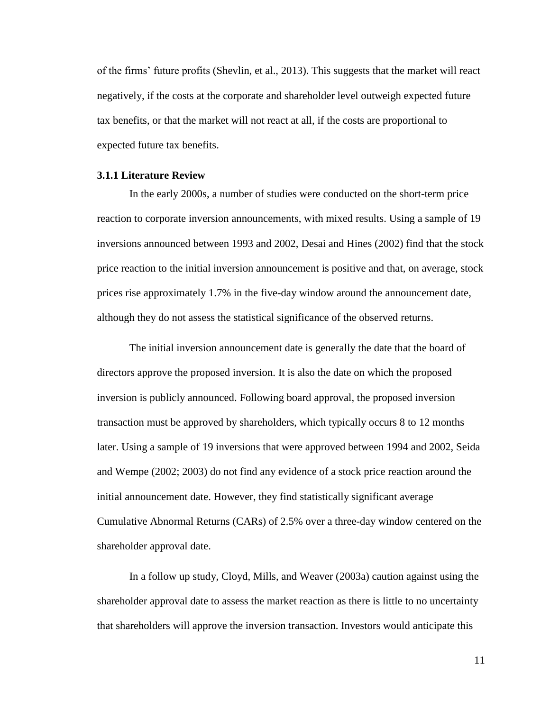of the firms' future profits (Shevlin, et al., 2013). This suggests that the market will react negatively, if the costs at the corporate and shareholder level outweigh expected future tax benefits, or that the market will not react at all, if the costs are proportional to expected future tax benefits.

#### <span id="page-16-0"></span>**3.1.1 Literature Review**

In the early 2000s, a number of studies were conducted on the short-term price reaction to corporate inversion announcements, with mixed results. Using a sample of 19 inversions announced between 1993 and 2002, Desai and Hines (2002) find that the stock price reaction to the initial inversion announcement is positive and that, on average, stock prices rise approximately 1.7% in the five-day window around the announcement date, although they do not assess the statistical significance of the observed returns.

The initial inversion announcement date is generally the date that the board of directors approve the proposed inversion. It is also the date on which the proposed inversion is publicly announced. Following board approval, the proposed inversion transaction must be approved by shareholders, which typically occurs 8 to 12 months later. Using a sample of 19 inversions that were approved between 1994 and 2002, Seida and Wempe (2002; 2003) do not find any evidence of a stock price reaction around the initial announcement date. However, they find statistically significant average Cumulative Abnormal Returns (CARs) of 2.5% over a three-day window centered on the shareholder approval date.

In a follow up study, Cloyd, Mills, and Weaver (2003a) caution against using the shareholder approval date to assess the market reaction as there is little to no uncertainty that shareholders will approve the inversion transaction. Investors would anticipate this

11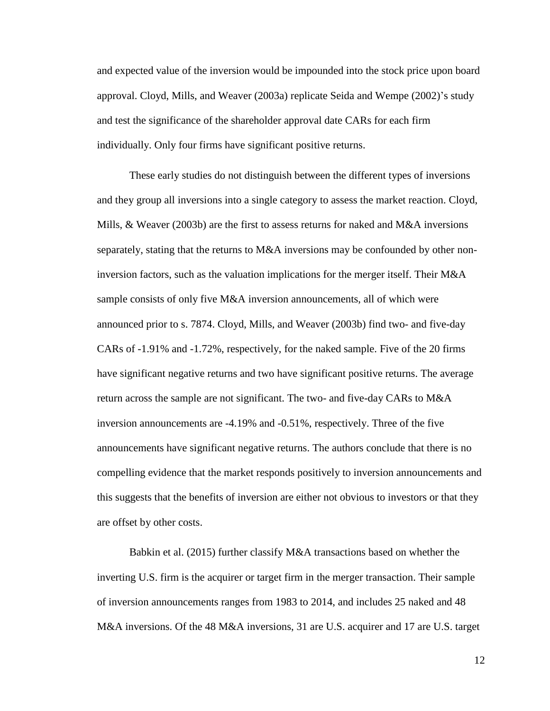and expected value of the inversion would be impounded into the stock price upon board approval. Cloyd, Mills, and Weaver (2003a) replicate Seida and Wempe (2002)'s study and test the significance of the shareholder approval date CARs for each firm individually. Only four firms have significant positive returns.

These early studies do not distinguish between the different types of inversions and they group all inversions into a single category to assess the market reaction. Cloyd, Mills, & Weaver (2003b) are the first to assess returns for naked and M&A inversions separately, stating that the returns to M&A inversions may be confounded by other noninversion factors, such as the valuation implications for the merger itself. Their M&A sample consists of only five M&A inversion announcements, all of which were announced prior to s. 7874. Cloyd, Mills, and Weaver (2003b) find two- and five-day CARs of -1.91% and -1.72%, respectively, for the naked sample. Five of the 20 firms have significant negative returns and two have significant positive returns. The average return across the sample are not significant. The two- and five-day CARs to M&A inversion announcements are -4.19% and -0.51%, respectively. Three of the five announcements have significant negative returns. The authors conclude that there is no compelling evidence that the market responds positively to inversion announcements and this suggests that the benefits of inversion are either not obvious to investors or that they are offset by other costs.

Babkin et al. (2015) further classify M&A transactions based on whether the inverting U.S. firm is the acquirer or target firm in the merger transaction. Their sample of inversion announcements ranges from 1983 to 2014, and includes 25 naked and 48 M&A inversions. Of the 48 M&A inversions, 31 are U.S. acquirer and 17 are U.S. target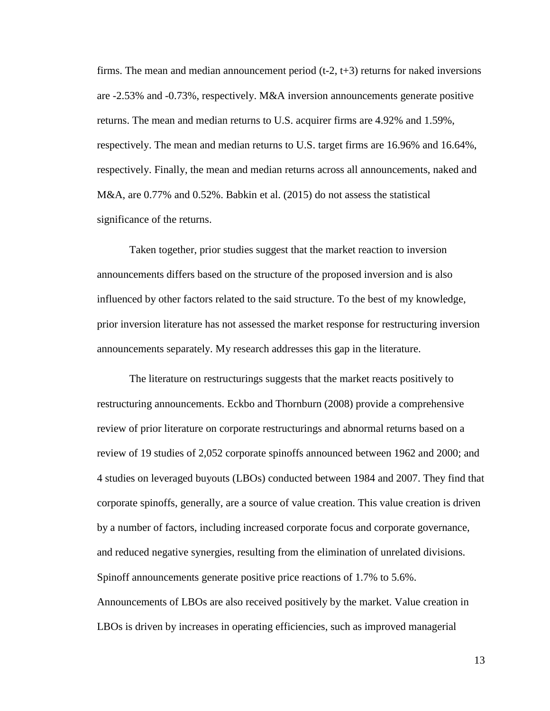firms. The mean and median announcement period  $(t-2, t+3)$  returns for naked inversions are -2.53% and -0.73%, respectively. M&A inversion announcements generate positive returns. The mean and median returns to U.S. acquirer firms are 4.92% and 1.59%, respectively. The mean and median returns to U.S. target firms are 16.96% and 16.64%, respectively. Finally, the mean and median returns across all announcements, naked and M&A, are 0.77% and 0.52%. Babkin et al. (2015) do not assess the statistical significance of the returns.

Taken together, prior studies suggest that the market reaction to inversion announcements differs based on the structure of the proposed inversion and is also influenced by other factors related to the said structure. To the best of my knowledge, prior inversion literature has not assessed the market response for restructuring inversion announcements separately. My research addresses this gap in the literature.

The literature on restructurings suggests that the market reacts positively to restructuring announcements. Eckbo and Thornburn (2008) provide a comprehensive review of prior literature on corporate restructurings and abnormal returns based on a review of 19 studies of 2,052 corporate spinoffs announced between 1962 and 2000; and 4 studies on leveraged buyouts (LBOs) conducted between 1984 and 2007. They find that corporate spinoffs, generally, are a source of value creation. This value creation is driven by a number of factors, including increased corporate focus and corporate governance, and reduced negative synergies, resulting from the elimination of unrelated divisions. Spinoff announcements generate positive price reactions of 1.7% to 5.6%. Announcements of LBOs are also received positively by the market. Value creation in LBOs is driven by increases in operating efficiencies, such as improved managerial

13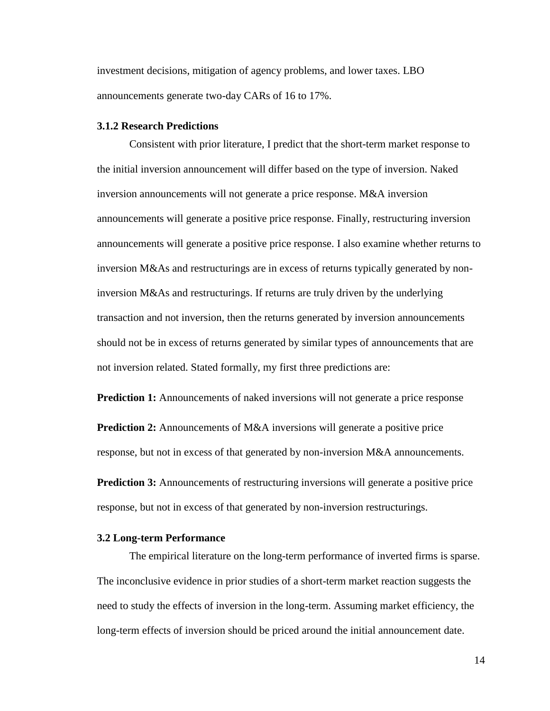investment decisions, mitigation of agency problems, and lower taxes. LBO announcements generate two-day CARs of 16 to 17%.

#### <span id="page-19-0"></span>**3.1.2 Research Predictions**

Consistent with prior literature, I predict that the short-term market response to the initial inversion announcement will differ based on the type of inversion. Naked inversion announcements will not generate a price response. M&A inversion announcements will generate a positive price response. Finally, restructuring inversion announcements will generate a positive price response. I also examine whether returns to inversion M&As and restructurings are in excess of returns typically generated by noninversion M&As and restructurings. If returns are truly driven by the underlying transaction and not inversion, then the returns generated by inversion announcements should not be in excess of returns generated by similar types of announcements that are not inversion related. Stated formally, my first three predictions are:

**Prediction 1:** Announcements of naked inversions will not generate a price response

**Prediction 2:** Announcements of M&A inversions will generate a positive price response, but not in excess of that generated by non-inversion M&A announcements.

**Prediction 3:** Announcements of restructuring inversions will generate a positive price response, but not in excess of that generated by non-inversion restructurings.

#### <span id="page-19-1"></span>**3.2 Long-term Performance**

The empirical literature on the long-term performance of inverted firms is sparse. The inconclusive evidence in prior studies of a short-term market reaction suggests the need to study the effects of inversion in the long-term. Assuming market efficiency, the long-term effects of inversion should be priced around the initial announcement date.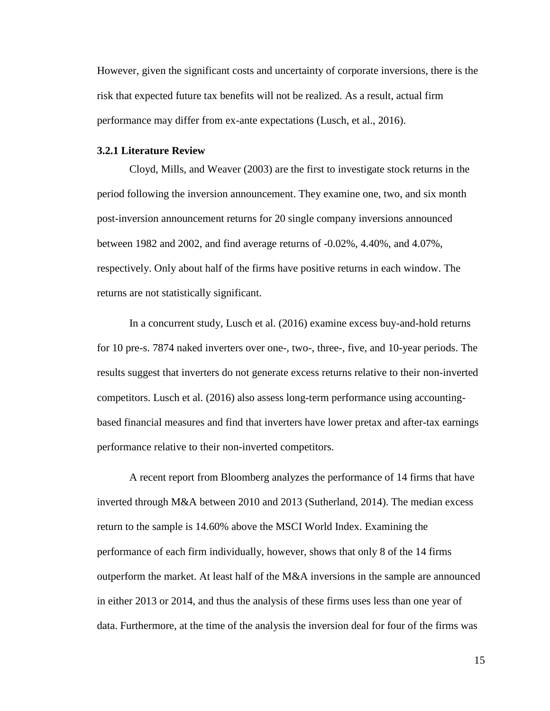However, given the significant costs and uncertainty of corporate inversions, there is the risk that expected future tax benefits will not be realized. As a result, actual firm performance may differ from ex-ante expectations (Lusch, et al., 2016).

#### <span id="page-20-0"></span>**3.2.1 Literature Review**

Cloyd, Mills, and Weaver (2003) are the first to investigate stock returns in the period following the inversion announcement. They examine one, two, and six month post-inversion announcement returns for 20 single company inversions announced between 1982 and 2002, and find average returns of -0.02%, 4.40%, and 4.07%, respectively. Only about half of the firms have positive returns in each window. The returns are not statistically significant.

In a concurrent study, Lusch et al. (2016) examine excess buy-and-hold returns for 10 pre-s. 7874 naked inverters over one-, two-, three-, five, and 10-year periods. The results suggest that inverters do not generate excess returns relative to their non-inverted competitors. Lusch et al. (2016) also assess long-term performance using accountingbased financial measures and find that inverters have lower pretax and after-tax earnings performance relative to their non-inverted competitors.

A recent report from Bloomberg analyzes the performance of 14 firms that have inverted through M&A between 2010 and 2013 (Sutherland, 2014). The median excess return to the sample is 14.60% above the MSCI World Index. Examining the performance of each firm individually, however, shows that only 8 of the 14 firms outperform the market. At least half of the M&A inversions in the sample are announced in either 2013 or 2014, and thus the analysis of these firms uses less than one year of data. Furthermore, at the time of the analysis the inversion deal for four of the firms was

15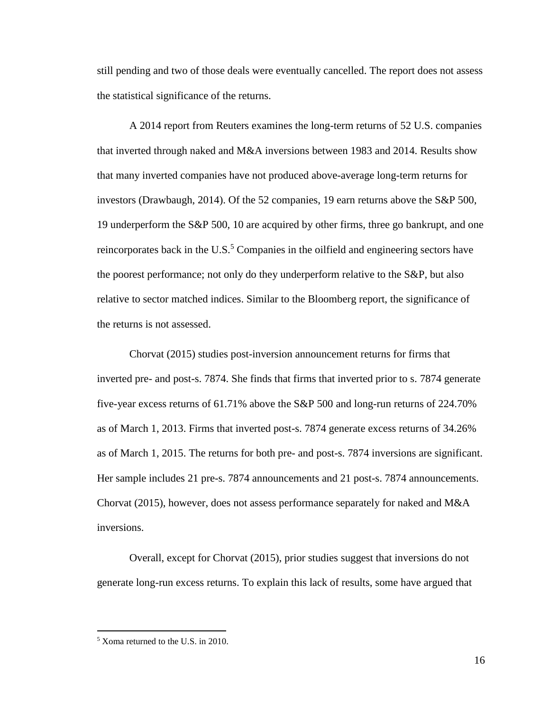still pending and two of those deals were eventually cancelled. The report does not assess the statistical significance of the returns.

A 2014 report from Reuters examines the long-term returns of 52 U.S. companies that inverted through naked and M&A inversions between 1983 and 2014. Results show that many inverted companies have not produced above-average long-term returns for investors (Drawbaugh, 2014). Of the 52 companies, 19 earn returns above the S&P 500, 19 underperform the S&P 500, 10 are acquired by other firms, three go bankrupt, and one reincorporates back in the U.S. $<sup>5</sup>$  Companies in the oilfield and engineering sectors have</sup> the poorest performance; not only do they underperform relative to the S&P, but also relative to sector matched indices. Similar to the Bloomberg report, the significance of the returns is not assessed.

Chorvat (2015) studies post-inversion announcement returns for firms that inverted pre- and post-s. 7874. She finds that firms that inverted prior to s. 7874 generate five-year excess returns of 61.71% above the S&P 500 and long-run returns of 224.70% as of March 1, 2013. Firms that inverted post-s. 7874 generate excess returns of 34.26% as of March 1, 2015. The returns for both pre- and post-s. 7874 inversions are significant. Her sample includes 21 pre-s. 7874 announcements and 21 post-s. 7874 announcements. Chorvat (2015), however, does not assess performance separately for naked and M&A inversions.

Overall, except for Chorvat (2015), prior studies suggest that inversions do not generate long-run excess returns. To explain this lack of results, some have argued that

 $\overline{a}$ 

<sup>5</sup> Xoma returned to the U.S. in 2010.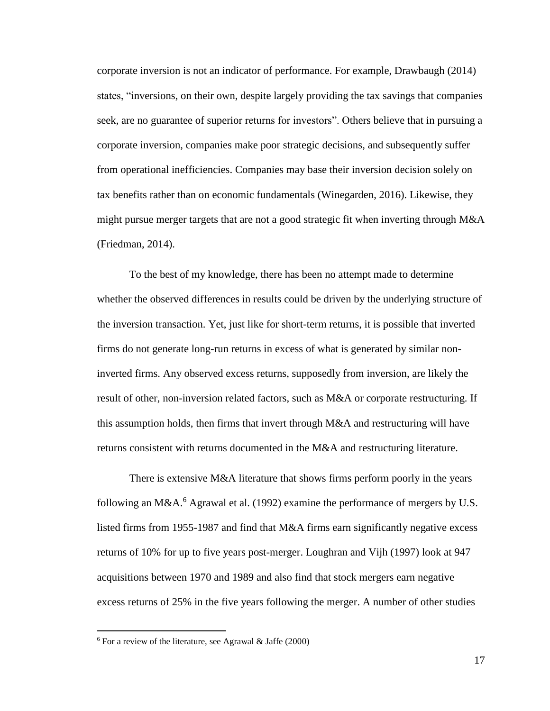corporate inversion is not an indicator of performance. For example, Drawbaugh (2014) states, "inversions, on their own, despite largely providing the tax savings that companies seek, are no guarantee of superior returns for investors". Others believe that in pursuing a corporate inversion, companies make poor strategic decisions, and subsequently suffer from operational inefficiencies. Companies may base their inversion decision solely on tax benefits rather than on economic fundamentals (Winegarden, 2016). Likewise, they might pursue merger targets that are not a good strategic fit when inverting through M&A (Friedman, 2014).

To the best of my knowledge, there has been no attempt made to determine whether the observed differences in results could be driven by the underlying structure of the inversion transaction. Yet, just like for short-term returns, it is possible that inverted firms do not generate long-run returns in excess of what is generated by similar noninverted firms. Any observed excess returns, supposedly from inversion, are likely the result of other, non-inversion related factors, such as M&A or corporate restructuring. If this assumption holds, then firms that invert through M&A and restructuring will have returns consistent with returns documented in the M&A and restructuring literature.

There is extensive M&A literature that shows firms perform poorly in the years following an M&A.<sup>6</sup> Agrawal et al. (1992) examine the performance of mergers by U.S. listed firms from 1955-1987 and find that M&A firms earn significantly negative excess returns of 10% for up to five years post-merger. Loughran and Vijh (1997) look at 947 acquisitions between 1970 and 1989 and also find that stock mergers earn negative excess returns of 25% in the five years following the merger. A number of other studies

 $\overline{a}$ 

 $6$  For a review of the literature, see Agrawal & Jaffe (2000)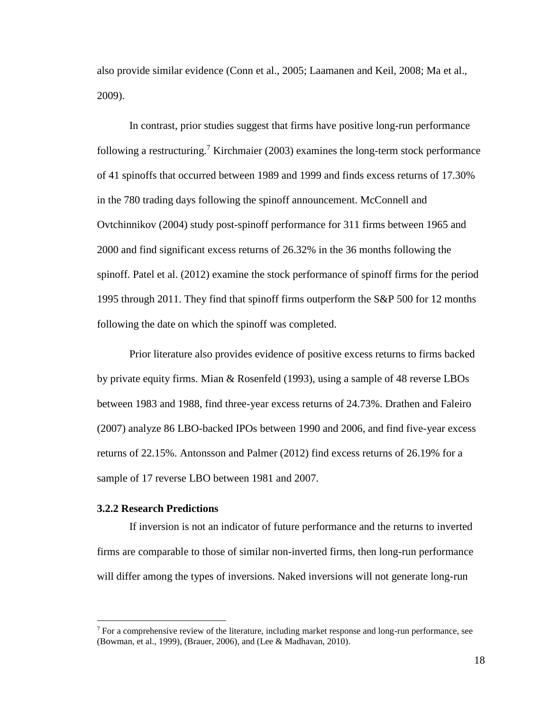also provide similar evidence (Conn et al., 2005; Laamanen and Keil, 2008; Ma et al., 2009).

In contrast, prior studies suggest that firms have positive long-run performance following a restructuring.<sup>7</sup> Kirchmaier (2003) examines the long-term stock performance of 41 spinoffs that occurred between 1989 and 1999 and finds excess returns of 17.30% in the 780 trading days following the spinoff announcement. McConnell and Ovtchinnikov (2004) study post-spinoff performance for 311 firms between 1965 and 2000 and find significant excess returns of 26.32% in the 36 months following the spinoff. Patel et al. (2012) examine the stock performance of spinoff firms for the period 1995 through 2011. They find that spinoff firms outperform the S&P 500 for 12 months following the date on which the spinoff was completed.

Prior literature also provides evidence of positive excess returns to firms backed by private equity firms. Mian & Rosenfeld (1993), using a sample of 48 reverse LBOs between 1983 and 1988, find three-year excess returns of 24.73%. Drathen and Faleiro (2007) analyze 86 LBO-backed IPOs between 1990 and 2006, and find five-year excess returns of 22.15%. Antonsson and Palmer (2012) find excess returns of 26.19% for a sample of 17 reverse LBO between 1981 and 2007.

#### <span id="page-23-0"></span>**3.2.2 Research Predictions**

 $\overline{a}$ 

If inversion is not an indicator of future performance and the returns to inverted firms are comparable to those of similar non-inverted firms, then long-run performance will differ among the types of inversions. Naked inversions will not generate long-run

 $<sup>7</sup>$  For a comprehensive review of the literature, including market response and long-run performance, see</sup> (Bowman, et al., 1999), (Brauer, 2006), and (Lee & Madhavan, 2010).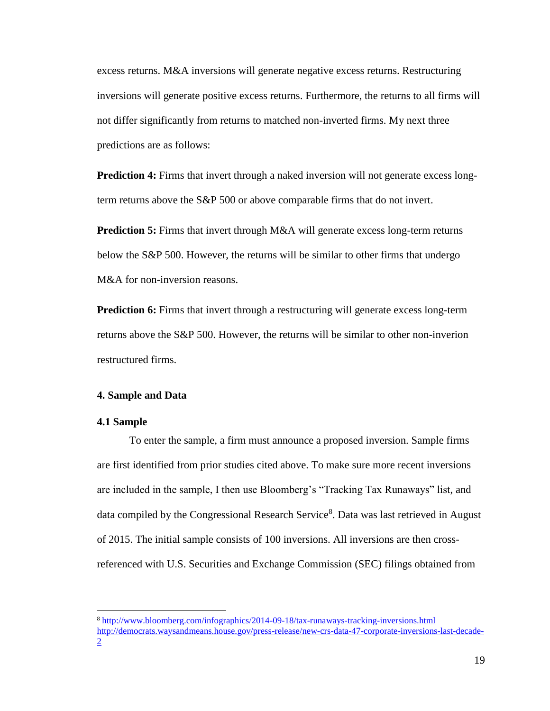excess returns. M&A inversions will generate negative excess returns. Restructuring inversions will generate positive excess returns. Furthermore, the returns to all firms will not differ significantly from returns to matched non-inverted firms. My next three predictions are as follows:

**Prediction 4:** Firms that invert through a naked inversion will not generate excess longterm returns above the S&P 500 or above comparable firms that do not invert.

**Prediction 5:** Firms that invert through M&A will generate excess long-term returns below the S&P 500. However, the returns will be similar to other firms that undergo M&A for non-inversion reasons.

**Prediction 6:** Firms that invert through a restructuring will generate excess long-term returns above the S&P 500. However, the returns will be similar to other non-inverion restructured firms.

#### <span id="page-24-0"></span>**4. Sample and Data**

#### <span id="page-24-1"></span>**4.1 Sample**

 $\overline{a}$ 

To enter the sample, a firm must announce a proposed inversion. Sample firms are first identified from prior studies cited above. To make sure more recent inversions are included in the sample, I then use Bloomberg's "Tracking Tax Runaways" list, and data compiled by the Congressional Research Service<sup>8</sup>. Data was last retrieved in August of 2015. The initial sample consists of 100 inversions. All inversions are then crossreferenced with U.S. Securities and Exchange Commission (SEC) filings obtained from

<sup>8</sup> <http://www.bloomberg.com/infographics/2014-09-18/tax-runaways-tracking-inversions.html> [http://democrats.waysandmeans.house.gov/press-release/new-crs-data-47-corporate-inversions-last-decade-](http://democrats.waysandmeans.house.gov/press-release/new-crs-data-47-corporate-inversions-last-decade-2)[2](http://democrats.waysandmeans.house.gov/press-release/new-crs-data-47-corporate-inversions-last-decade-2)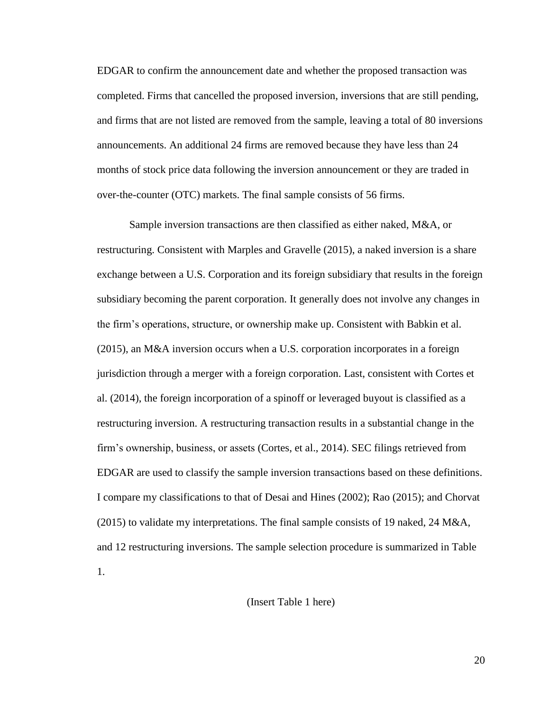EDGAR to confirm the announcement date and whether the proposed transaction was completed. Firms that cancelled the proposed inversion, inversions that are still pending, and firms that are not listed are removed from the sample, leaving a total of 80 inversions announcements. An additional 24 firms are removed because they have less than 24 months of stock price data following the inversion announcement or they are traded in over-the-counter (OTC) markets. The final sample consists of 56 firms.

Sample inversion transactions are then classified as either naked, M&A, or restructuring. Consistent with Marples and Gravelle (2015), a naked inversion is a share exchange between a U.S. Corporation and its foreign subsidiary that results in the foreign subsidiary becoming the parent corporation. It generally does not involve any changes in the firm's operations, structure, or ownership make up. Consistent with Babkin et al. (2015), an M&A inversion occurs when a U.S. corporation incorporates in a foreign jurisdiction through a merger with a foreign corporation. Last, consistent with Cortes et al. (2014), the foreign incorporation of a spinoff or leveraged buyout is classified as a restructuring inversion. A restructuring transaction results in a substantial change in the firm's ownership, business, or assets (Cortes, et al., 2014). SEC filings retrieved from EDGAR are used to classify the sample inversion transactions based on these definitions. I compare my classifications to that of Desai and Hines (2002); Rao (2015); and Chorvat (2015) to validate my interpretations. The final sample consists of 19 naked, 24 M&A, and 12 restructuring inversions. The sample selection procedure is summarized in Table 1.

### (Insert Table 1 here)

20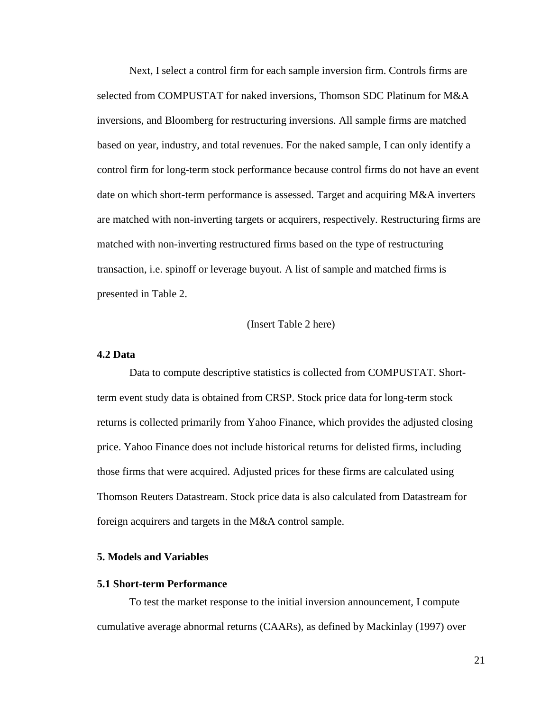Next, I select a control firm for each sample inversion firm. Controls firms are selected from COMPUSTAT for naked inversions, Thomson SDC Platinum for M&A inversions, and Bloomberg for restructuring inversions. All sample firms are matched based on year, industry, and total revenues. For the naked sample, I can only identify a control firm for long-term stock performance because control firms do not have an event date on which short-term performance is assessed. Target and acquiring M&A inverters are matched with non-inverting targets or acquirers, respectively. Restructuring firms are matched with non-inverting restructured firms based on the type of restructuring transaction, i.e. spinoff or leverage buyout. A list of sample and matched firms is presented in Table 2.

#### (Insert Table 2 here)

#### <span id="page-26-0"></span>**4.2 Data**

Data to compute descriptive statistics is collected from COMPUSTAT. Shortterm event study data is obtained from CRSP. Stock price data for long-term stock returns is collected primarily from Yahoo Finance, which provides the adjusted closing price. Yahoo Finance does not include historical returns for delisted firms, including those firms that were acquired. Adjusted prices for these firms are calculated using Thomson Reuters Datastream. Stock price data is also calculated from Datastream for foreign acquirers and targets in the M&A control sample.

#### <span id="page-26-1"></span>**5. Models and Variables**

#### <span id="page-26-2"></span>**5.1 Short-term Performance**

To test the market response to the initial inversion announcement, I compute cumulative average abnormal returns (CAARs), as defined by Mackinlay (1997) over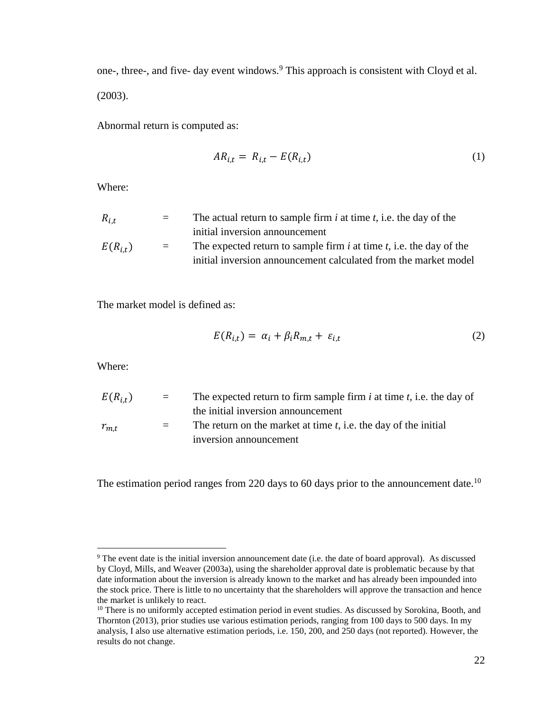one-, three-, and five- day event windows.<sup>9</sup> This approach is consistent with Cloyd et al. (2003).

Abnormal return is computed as:

$$
AR_{i,t} = R_{i,t} - E(R_{i,t})
$$
\n<sup>(1)</sup>

Where:

| $R_{i.t.}$   | $=$ | The actual return to sample firm $i$ at time $t$ , i.e. the day of the   |
|--------------|-----|--------------------------------------------------------------------------|
|              |     | initial inversion announcement                                           |
| $E(R_{i,t})$ | $=$ | The expected return to sample firm $i$ at time $t$ , i.e. the day of the |
|              |     | initial inversion announcement calculated from the market model          |

The market model is defined as:

$$
E(R_{i,t}) = \alpha_i + \beta_i R_{m,t} + \varepsilon_{i,t} \tag{2}
$$

Where:

 $\overline{a}$ 

| $E(R_{i,t})$ | $=$ $-$ | The expected return to firm sample firm $i$ at time $t$ , i.e. the day of |
|--------------|---------|---------------------------------------------------------------------------|
|              |         | the initial inversion announcement                                        |
| $r_{m,t}$    | $=$     | The return on the market at time $t$ , i.e. the day of the initial        |
|              |         | inversion announcement                                                    |

The estimation period ranges from 220 days to 60 days prior to the announcement date.<sup>10</sup>

<sup>&</sup>lt;sup>9</sup> The event date is the initial inversion announcement date (i.e. the date of board approval). As discussed by Cloyd, Mills, and Weaver (2003a), using the shareholder approval date is problematic because by that date information about the inversion is already known to the market and has already been impounded into the stock price. There is little to no uncertainty that the shareholders will approve the transaction and hence the market is unlikely to react.

<sup>&</sup>lt;sup>10</sup> There is no uniformly accepted estimation period in event studies. As discussed by Sorokina, Booth, and Thornton (2013), prior studies use various estimation periods, ranging from 100 days to 500 days. In my analysis, I also use alternative estimation periods, i.e. 150, 200, and 250 days (not reported). However, the results do not change.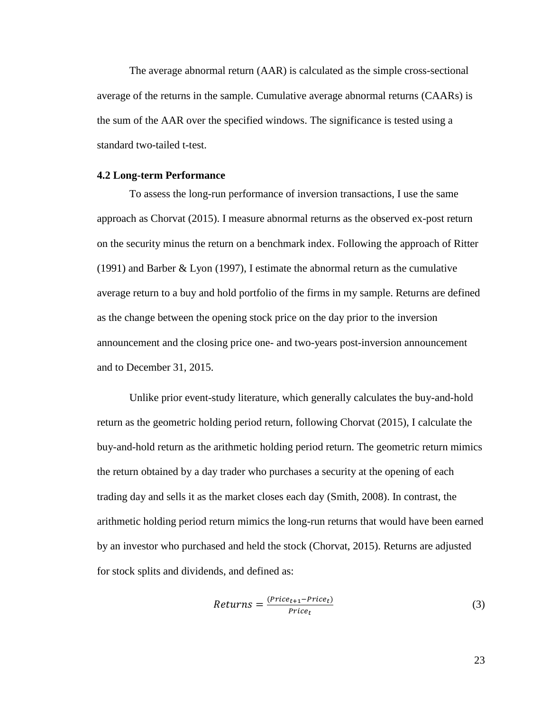The average abnormal return (AAR) is calculated as the simple cross-sectional average of the returns in the sample. Cumulative average abnormal returns (CAARs) is the sum of the AAR over the specified windows. The significance is tested using a standard two-tailed t-test.

#### <span id="page-28-0"></span>**4.2 Long-term Performance**

To assess the long-run performance of inversion transactions, I use the same approach as Chorvat (2015). I measure abnormal returns as the observed ex-post return on the security minus the return on a benchmark index. Following the approach of Ritter (1991) and Barber & Lyon (1997), I estimate the abnormal return as the cumulative average return to a buy and hold portfolio of the firms in my sample. Returns are defined as the change between the opening stock price on the day prior to the inversion announcement and the closing price one- and two-years post-inversion announcement and to December 31, 2015.

Unlike prior event-study literature, which generally calculates the buy-and-hold return as the geometric holding period return, following Chorvat (2015), I calculate the buy-and-hold return as the arithmetic holding period return. The geometric return mimics the return obtained by a day trader who purchases a security at the opening of each trading day and sells it as the market closes each day (Smith, 2008). In contrast, the arithmetic holding period return mimics the long-run returns that would have been earned by an investor who purchased and held the stock (Chorvat, 2015). Returns are adjusted for stock splits and dividends, and defined as:

$$
Returns = \frac{(Price_{t+1} - Price_t)}{Price_t} \tag{3}
$$

23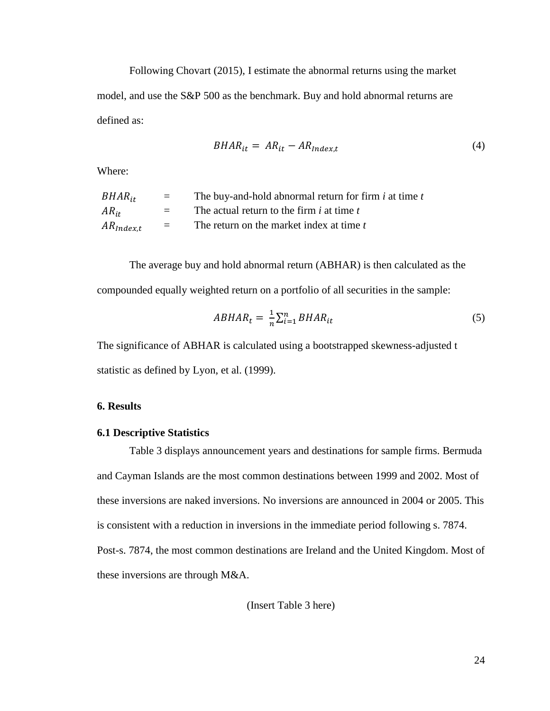Following Chovart (2015), I estimate the abnormal returns using the market model, and use the S&P 500 as the benchmark. Buy and hold abnormal returns are defined as:

$$
BHAR_{it} = AR_{it} - AR_{index,t}
$$
\n<sup>(4)</sup>

Where:

| $BHAR_{it}$    | $=$               | The buy-and-hold abnormal return for firm <i>i</i> at time <i>t</i> |
|----------------|-------------------|---------------------------------------------------------------------|
| $AR_{it}$      | $=$ $-$           | The actual return to the firm $i$ at time $t$                       |
| $AR_{Index,t}$ | $\equiv$ $\equiv$ | The return on the market index at time t                            |

The average buy and hold abnormal return (ABHAR) is then calculated as the compounded equally weighted return on a portfolio of all securities in the sample:

$$
ABHAR_t = \frac{1}{n} \sum_{i=1}^n BHAR_{it}
$$
\n<sup>(5)</sup>

The significance of ABHAR is calculated using a bootstrapped skewness-adjusted t statistic as defined by Lyon, et al. (1999).

#### <span id="page-29-0"></span>**6. Results**

#### <span id="page-29-1"></span>**6.1 Descriptive Statistics**

Table 3 displays announcement years and destinations for sample firms. Bermuda and Cayman Islands are the most common destinations between 1999 and 2002. Most of these inversions are naked inversions. No inversions are announced in 2004 or 2005. This is consistent with a reduction in inversions in the immediate period following s. 7874. Post-s. 7874, the most common destinations are Ireland and the United Kingdom. Most of these inversions are through M&A.

(Insert Table 3 here)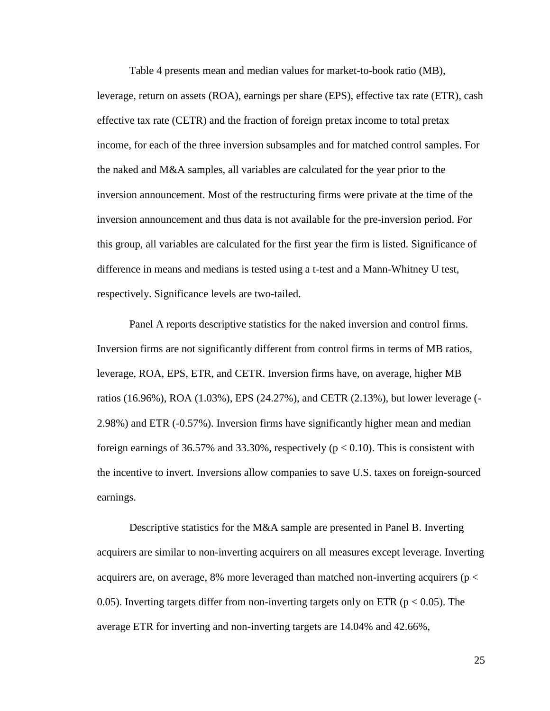Table 4 presents mean and median values for market-to-book ratio (MB), leverage, return on assets (ROA), earnings per share (EPS), effective tax rate (ETR), cash effective tax rate (CETR) and the fraction of foreign pretax income to total pretax income, for each of the three inversion subsamples and for matched control samples. For the naked and M&A samples, all variables are calculated for the year prior to the inversion announcement. Most of the restructuring firms were private at the time of the inversion announcement and thus data is not available for the pre-inversion period. For this group, all variables are calculated for the first year the firm is listed. Significance of difference in means and medians is tested using a t-test and a Mann-Whitney U test, respectively. Significance levels are two-tailed.

Panel A reports descriptive statistics for the naked inversion and control firms. Inversion firms are not significantly different from control firms in terms of MB ratios, leverage, ROA, EPS, ETR, and CETR. Inversion firms have, on average, higher MB ratios (16.96%), ROA (1.03%), EPS (24.27%), and CETR (2.13%), but lower leverage (- 2.98%) and ETR (-0.57%). Inversion firms have significantly higher mean and median foreign earnings of 36.57% and 33.30%, respectively ( $p < 0.10$ ). This is consistent with the incentive to invert. Inversions allow companies to save U.S. taxes on foreign-sourced earnings.

Descriptive statistics for the M&A sample are presented in Panel B. Inverting acquirers are similar to non-inverting acquirers on all measures except leverage. Inverting acquirers are, on average, 8% more leveraged than matched non-inverting acquirers ( $p <$ 0.05). Inverting targets differ from non-inverting targets only on ETR ( $p < 0.05$ ). The average ETR for inverting and non-inverting targets are 14.04% and 42.66%,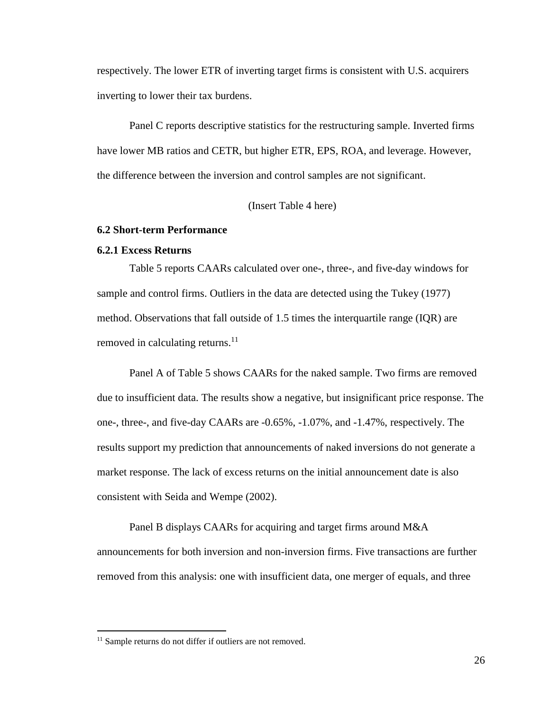respectively. The lower ETR of inverting target firms is consistent with U.S. acquirers inverting to lower their tax burdens.

Panel C reports descriptive statistics for the restructuring sample. Inverted firms have lower MB ratios and CETR, but higher ETR, EPS, ROA, and leverage. However, the difference between the inversion and control samples are not significant.

(Insert Table 4 here)

#### <span id="page-31-0"></span>**6.2 Short-term Performance**

#### <span id="page-31-1"></span>**6.2.1 Excess Returns**

Table 5 reports CAARs calculated over one-, three-, and five-day windows for sample and control firms. Outliers in the data are detected using the Tukey (1977) method. Observations that fall outside of 1.5 times the interquartile range (IQR) are removed in calculating returns.<sup>11</sup>

Panel A of Table 5 shows CAARs for the naked sample. Two firms are removed due to insufficient data. The results show a negative, but insignificant price response. The one-, three-, and five-day CAARs are -0.65%, -1.07%, and -1.47%, respectively. The results support my prediction that announcements of naked inversions do not generate a market response. The lack of excess returns on the initial announcement date is also consistent with Seida and Wempe (2002).

Panel B displays CAARs for acquiring and target firms around M&A announcements for both inversion and non-inversion firms. Five transactions are further removed from this analysis: one with insufficient data, one merger of equals, and three

 $\overline{a}$ 

<sup>&</sup>lt;sup>11</sup> Sample returns do not differ if outliers are not removed.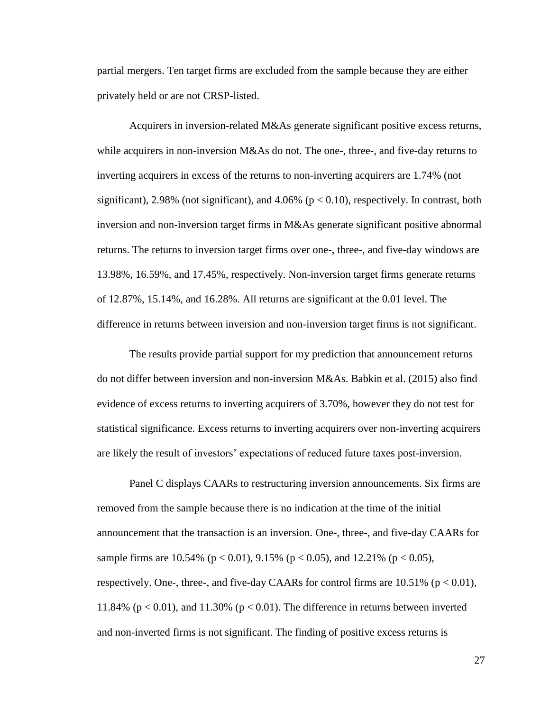partial mergers. Ten target firms are excluded from the sample because they are either privately held or are not CRSP-listed.

Acquirers in inversion-related M&As generate significant positive excess returns, while acquirers in non-inversion M&As do not. The one-, three-, and five-day returns to inverting acquirers in excess of the returns to non-inverting acquirers are 1.74% (not significant), 2.98% (not significant), and 4.06% ( $p < 0.10$ ), respectively. In contrast, both inversion and non-inversion target firms in M&As generate significant positive abnormal returns. The returns to inversion target firms over one-, three-, and five-day windows are 13.98%, 16.59%, and 17.45%, respectively. Non-inversion target firms generate returns of 12.87%, 15.14%, and 16.28%. All returns are significant at the 0.01 level. The difference in returns between inversion and non-inversion target firms is not significant.

The results provide partial support for my prediction that announcement returns do not differ between inversion and non-inversion M&As. Babkin et al. (2015) also find evidence of excess returns to inverting acquirers of 3.70%, however they do not test for statistical significance. Excess returns to inverting acquirers over non-inverting acquirers are likely the result of investors' expectations of reduced future taxes post-inversion.

Panel C displays CAARs to restructuring inversion announcements. Six firms are removed from the sample because there is no indication at the time of the initial announcement that the transaction is an inversion. One-, three-, and five-day CAARs for sample firms are 10.54% ( $p < 0.01$ ), 9.15% ( $p < 0.05$ ), and 12.21% ( $p < 0.05$ ), respectively. One-, three-, and five-day CAARs for control firms are  $10.51\%$  (p  $< 0.01$ ), 11.84% ( $p < 0.01$ ), and 11.30% ( $p < 0.01$ ). The difference in returns between inverted and non-inverted firms is not significant. The finding of positive excess returns is

27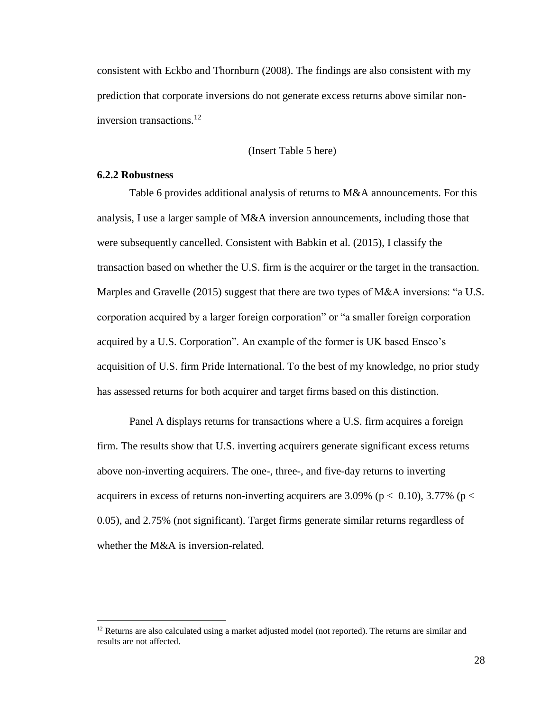consistent with Eckbo and Thornburn (2008). The findings are also consistent with my prediction that corporate inversions do not generate excess returns above similar noninversion transactions. $^{12}$ 

(Insert Table 5 here)

### <span id="page-33-0"></span>**6.2.2 Robustness**

 $\overline{a}$ 

Table 6 provides additional analysis of returns to M&A announcements. For this analysis, I use a larger sample of M&A inversion announcements, including those that were subsequently cancelled. Consistent with Babkin et al. (2015), I classify the transaction based on whether the U.S. firm is the acquirer or the target in the transaction. Marples and Gravelle (2015) suggest that there are two types of M&A inversions: "a U.S. corporation acquired by a larger foreign corporation" or "a smaller foreign corporation acquired by a U.S. Corporation". An example of the former is UK based Ensco's acquisition of U.S. firm Pride International. To the best of my knowledge, no prior study has assessed returns for both acquirer and target firms based on this distinction.

Panel A displays returns for transactions where a U.S. firm acquires a foreign firm. The results show that U.S. inverting acquirers generate significant excess returns above non-inverting acquirers. The one-, three-, and five-day returns to inverting acquirers in excess of returns non-inverting acquirers are 3.09% (p  $< 0.10$ ), 3.77% (p  $<$ 0.05), and 2.75% (not significant). Target firms generate similar returns regardless of whether the M&A is inversion-related.

 $12$  Returns are also calculated using a market adjusted model (not reported). The returns are similar and results are not affected.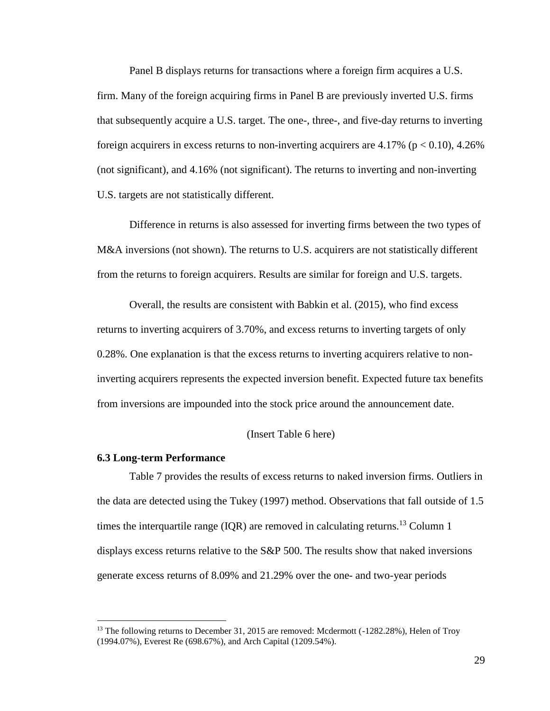Panel B displays returns for transactions where a foreign firm acquires a U.S. firm. Many of the foreign acquiring firms in Panel B are previously inverted U.S. firms that subsequently acquire a U.S. target. The one-, three-, and five-day returns to inverting foreign acquirers in excess returns to non-inverting acquirers are  $4.17\%$  (p  $< 0.10$ ),  $4.26\%$ (not significant), and 4.16% (not significant). The returns to inverting and non-inverting U.S. targets are not statistically different.

Difference in returns is also assessed for inverting firms between the two types of M&A inversions (not shown). The returns to U.S. acquirers are not statistically different from the returns to foreign acquirers. Results are similar for foreign and U.S. targets.

Overall, the results are consistent with Babkin et al. (2015), who find excess returns to inverting acquirers of 3.70%, and excess returns to inverting targets of only 0.28%. One explanation is that the excess returns to inverting acquirers relative to noninverting acquirers represents the expected inversion benefit. Expected future tax benefits from inversions are impounded into the stock price around the announcement date.

#### (Insert Table 6 here)

#### <span id="page-34-0"></span>**6.3 Long-term Performance**

 $\overline{a}$ 

Table 7 provides the results of excess returns to naked inversion firms. Outliers in the data are detected using the Tukey (1997) method. Observations that fall outside of 1.5 times the interquartile range (IQR) are removed in calculating returns.<sup>13</sup> Column 1 displays excess returns relative to the S&P 500. The results show that naked inversions generate excess returns of 8.09% and 21.29% over the one- and two-year periods

<sup>&</sup>lt;sup>13</sup> The following returns to December 31, 2015 are removed: Mcdermott (-1282.28%), Helen of Troy (1994.07%), Everest Re (698.67%), and Arch Capital (1209.54%).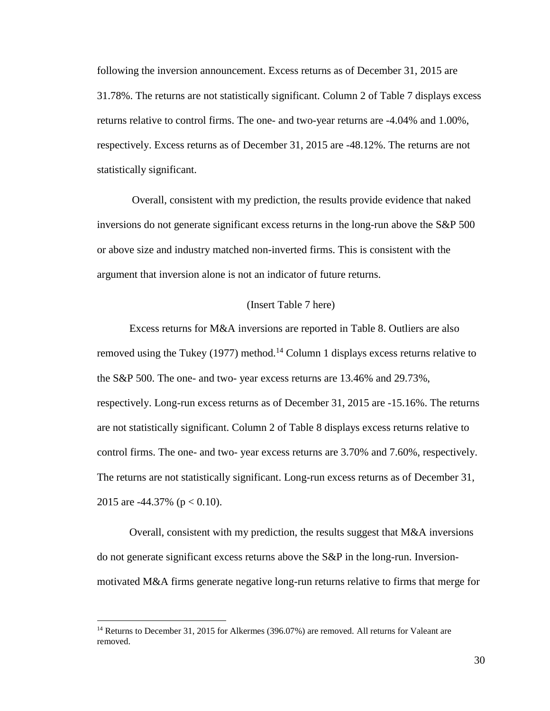following the inversion announcement. Excess returns as of December 31, 2015 are 31.78%. The returns are not statistically significant. Column 2 of Table 7 displays excess returns relative to control firms. The one- and two-year returns are -4.04% and 1.00%, respectively. Excess returns as of December 31, 2015 are -48.12%. The returns are not statistically significant.

Overall, consistent with my prediction, the results provide evidence that naked inversions do not generate significant excess returns in the long-run above the S&P 500 or above size and industry matched non-inverted firms. This is consistent with the argument that inversion alone is not an indicator of future returns.

#### (Insert Table 7 here)

Excess returns for M&A inversions are reported in Table 8. Outliers are also removed using the Tukey (1977) method.<sup>14</sup> Column 1 displays excess returns relative to the S&P 500. The one- and two- year excess returns are 13.46% and 29.73%, respectively. Long-run excess returns as of December 31, 2015 are -15.16%. The returns are not statistically significant. Column 2 of Table 8 displays excess returns relative to control firms. The one- and two- year excess returns are 3.70% and 7.60%, respectively. The returns are not statistically significant. Long-run excess returns as of December 31, 2015 are  $-44.37\%$  (p  $< 0.10$ ).

Overall, consistent with my prediction, the results suggest that M&A inversions do not generate significant excess returns above the S&P in the long-run. Inversionmotivated M&A firms generate negative long-run returns relative to firms that merge for

 $\overline{a}$ 

<sup>&</sup>lt;sup>14</sup> Returns to December 31, 2015 for Alkermes (396.07%) are removed. All returns for Valeant are removed.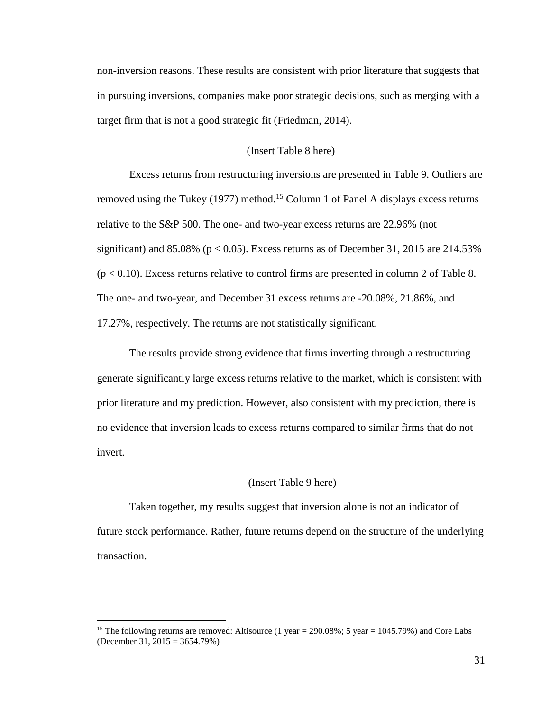non-inversion reasons. These results are consistent with prior literature that suggests that in pursuing inversions, companies make poor strategic decisions, such as merging with a target firm that is not a good strategic fit (Friedman, 2014).

#### (Insert Table 8 here)

Excess returns from restructuring inversions are presented in Table 9. Outliers are removed using the Tukey (1977) method.<sup>15</sup> Column 1 of Panel A displays excess returns relative to the S&P 500. The one- and two-year excess returns are 22.96% (not significant) and 85.08% ( $p < 0.05$ ). Excess returns as of December 31, 2015 are 214.53%  $(p < 0.10)$ . Excess returns relative to control firms are presented in column 2 of Table 8. The one- and two-year, and December 31 excess returns are -20.08%, 21.86%, and 17.27%, respectively. The returns are not statistically significant.

The results provide strong evidence that firms inverting through a restructuring generate significantly large excess returns relative to the market, which is consistent with prior literature and my prediction. However, also consistent with my prediction, there is no evidence that inversion leads to excess returns compared to similar firms that do not invert.

#### (Insert Table 9 here)

Taken together, my results suggest that inversion alone is not an indicator of future stock performance. Rather, future returns depend on the structure of the underlying transaction.

 $\overline{a}$ 

<sup>&</sup>lt;sup>15</sup> The following returns are removed: Altisource (1 year = 290.08%; 5 year = 1045.79%) and Core Labs (December 31, 2015 = 3654.79%)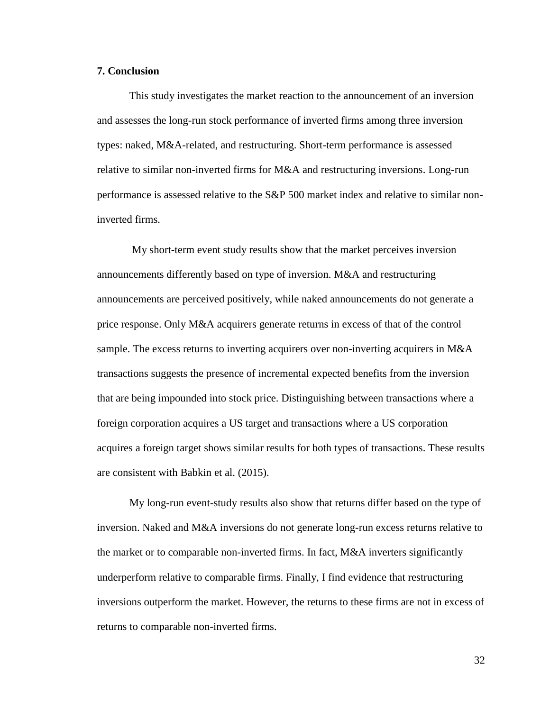#### <span id="page-37-0"></span>**7. Conclusion**

This study investigates the market reaction to the announcement of an inversion and assesses the long-run stock performance of inverted firms among three inversion types: naked, M&A-related, and restructuring. Short-term performance is assessed relative to similar non-inverted firms for M&A and restructuring inversions. Long-run performance is assessed relative to the S&P 500 market index and relative to similar noninverted firms.

My short-term event study results show that the market perceives inversion announcements differently based on type of inversion. M&A and restructuring announcements are perceived positively, while naked announcements do not generate a price response. Only M&A acquirers generate returns in excess of that of the control sample. The excess returns to inverting acquirers over non-inverting acquirers in M&A transactions suggests the presence of incremental expected benefits from the inversion that are being impounded into stock price. Distinguishing between transactions where a foreign corporation acquires a US target and transactions where a US corporation acquires a foreign target shows similar results for both types of transactions. These results are consistent with Babkin et al. (2015).

My long-run event-study results also show that returns differ based on the type of inversion. Naked and M&A inversions do not generate long-run excess returns relative to the market or to comparable non-inverted firms. In fact, M&A inverters significantly underperform relative to comparable firms. Finally, I find evidence that restructuring inversions outperform the market. However, the returns to these firms are not in excess of returns to comparable non-inverted firms.

32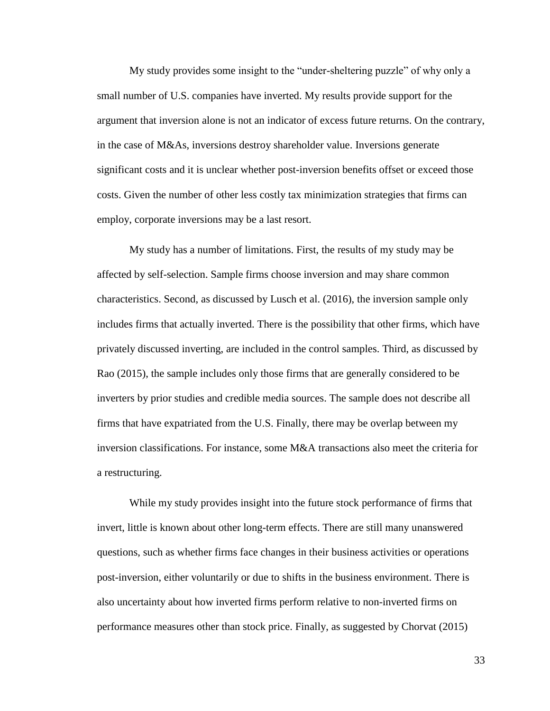My study provides some insight to the "under-sheltering puzzle" of why only a small number of U.S. companies have inverted. My results provide support for the argument that inversion alone is not an indicator of excess future returns. On the contrary, in the case of M&As, inversions destroy shareholder value. Inversions generate significant costs and it is unclear whether post-inversion benefits offset or exceed those costs. Given the number of other less costly tax minimization strategies that firms can employ, corporate inversions may be a last resort.

My study has a number of limitations. First, the results of my study may be affected by self-selection. Sample firms choose inversion and may share common characteristics. Second, as discussed by Lusch et al. (2016), the inversion sample only includes firms that actually inverted. There is the possibility that other firms, which have privately discussed inverting, are included in the control samples. Third, as discussed by Rao (2015), the sample includes only those firms that are generally considered to be inverters by prior studies and credible media sources. The sample does not describe all firms that have expatriated from the U.S. Finally, there may be overlap between my inversion classifications. For instance, some M&A transactions also meet the criteria for a restructuring.

While my study provides insight into the future stock performance of firms that invert, little is known about other long-term effects. There are still many unanswered questions, such as whether firms face changes in their business activities or operations post-inversion, either voluntarily or due to shifts in the business environment. There is also uncertainty about how inverted firms perform relative to non-inverted firms on performance measures other than stock price. Finally, as suggested by Chorvat (2015)

33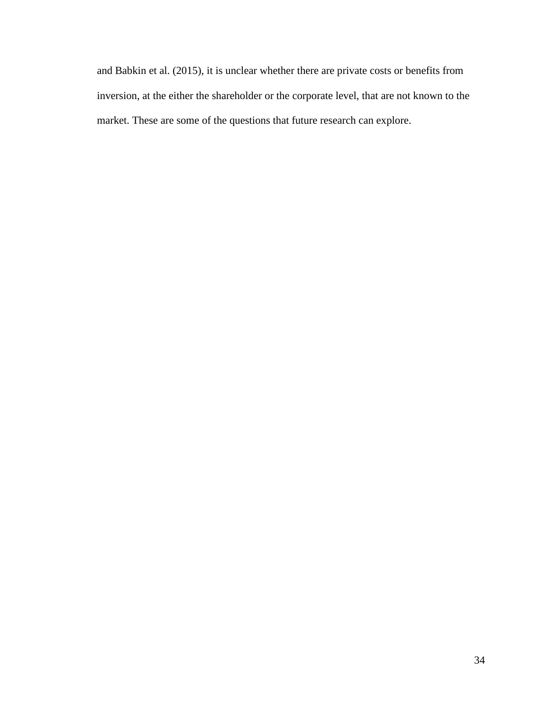and Babkin et al. (2015), it is unclear whether there are private costs or benefits from inversion, at the either the shareholder or the corporate level, that are not known to the market. These are some of the questions that future research can explore.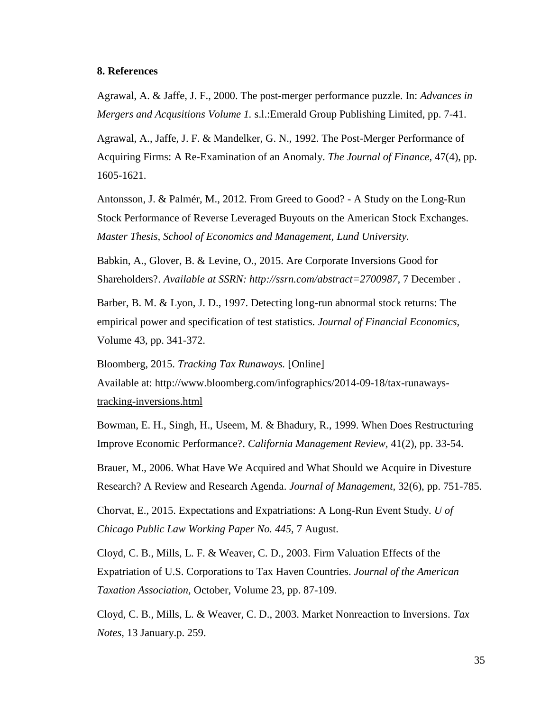#### <span id="page-40-0"></span>**8. References**

Agrawal, A. & Jaffe, J. F., 2000. The post-merger performance puzzle. In: *Advances in Mergers and Acqusitions Volume 1.* s.l.:Emerald Group Publishing Limited, pp. 7-41.

Agrawal, A., Jaffe, J. F. & Mandelker, G. N., 1992. The Post-Merger Performance of Acquiring Firms: A Re-Examination of an Anomaly. *The Journal of Finance,* 47(4), pp. 1605-1621.

Antonsson, J. & Palmér, M., 2012. From Greed to Good? - A Study on the Long-Run Stock Performance of Reverse Leveraged Buyouts on the American Stock Exchanges. *Master Thesis, School of Economics and Management, Lund University.*

Babkin, A., Glover, B. & Levine, O., 2015. Are Corporate Inversions Good for Shareholders?. *Available at SSRN: http://ssrn.com/abstract=2700987,* 7 December .

Barber, B. M. & Lyon, J. D., 1997. Detecting long-run abnormal stock returns: The empirical power and specification of test statistics. *Journal of Financial Economics,*  Volume 43, pp. 341-372.

Bloomberg, 2015. *Tracking Tax Runaways.* [Online] Available at: http://www.bloomberg.com/infographics/2014-09-18/tax-runawaystracking-inversions.html

Bowman, E. H., Singh, H., Useem, M. & Bhadury, R., 1999. When Does Restructuring Improve Economic Performance?. *California Management Review,* 41(2), pp. 33-54.

Brauer, M., 2006. What Have We Acquired and What Should we Acquire in Divesture Research? A Review and Research Agenda. *Journal of Management,* 32(6), pp. 751-785.

Chorvat, E., 2015. Expectations and Expatriations: A Long-Run Event Study. *U of Chicago Public Law Working Paper No. 445,* 7 August.

Cloyd, C. B., Mills, L. F. & Weaver, C. D., 2003. Firm Valuation Effects of the Expatriation of U.S. Corporations to Tax Haven Countries. *Journal of the American Taxation Association,* October, Volume 23, pp. 87-109.

Cloyd, C. B., Mills, L. & Weaver, C. D., 2003. Market Nonreaction to Inversions. *Tax Notes,* 13 January.p. 259.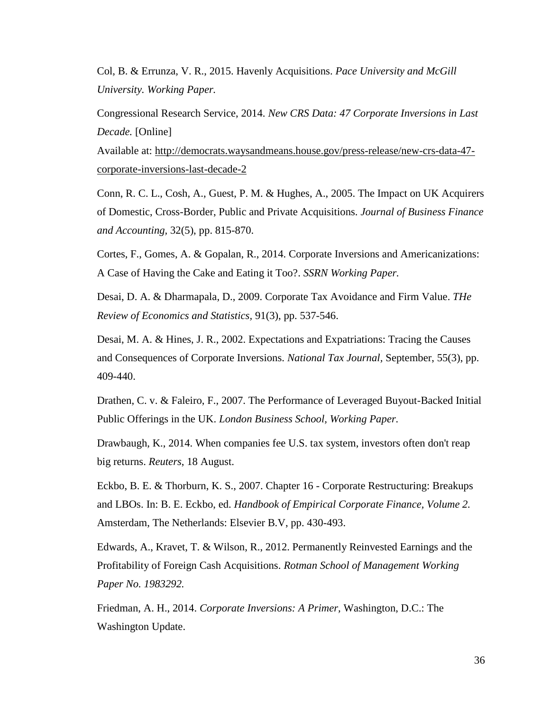Col, B. & Errunza, V. R., 2015. Havenly Acquisitions. *Pace University and McGill University. Working Paper.*

Congressional Research Service, 2014. *New CRS Data: 47 Corporate Inversions in Last Decade.* [Online]

Available at: http://democrats.waysandmeans.house.gov/press-release/new-crs-data-47 corporate-inversions-last-decade-2

Conn, R. C. L., Cosh, A., Guest, P. M. & Hughes, A., 2005. The Impact on UK Acquirers of Domestic, Cross-Border, Public and Private Acquisitions. *Journal of Business Finance and Accounting,* 32(5), pp. 815-870.

Cortes, F., Gomes, A. & Gopalan, R., 2014. Corporate Inversions and Americanizations: A Case of Having the Cake and Eating it Too?. *SSRN Working Paper.*

Desai, D. A. & Dharmapala, D., 2009. Corporate Tax Avoidance and Firm Value. *THe Review of Economics and Statistics,* 91(3), pp. 537-546.

Desai, M. A. & Hines, J. R., 2002. Expectations and Expatriations: Tracing the Causes and Consequences of Corporate Inversions. *National Tax Journal,* September, 55(3), pp. 409-440.

Drathen, C. v. & Faleiro, F., 2007. The Performance of Leveraged Buyout-Backed Initial Public Offerings in the UK. *London Business School, Working Paper.*

Drawbaugh, K., 2014. When companies fee U.S. tax system, investors often don't reap big returns. *Reuters*, 18 August.

Eckbo, B. E. & Thorburn, K. S., 2007. Chapter 16 - Corporate Restructuring: Breakups and LBOs. In: B. E. Eckbo, ed. *Handbook of Empirical Corporate Finance, Volume 2.*  Amsterdam, The Netherlands: Elsevier B.V, pp. 430-493.

Edwards, A., Kravet, T. & Wilson, R., 2012. Permanently Reinvested Earnings and the Profitability of Foreign Cash Acquisitions. *Rotman School of Management Working Paper No. 1983292.*

Friedman, A. H., 2014. *Corporate Inversions: A Primer,* Washington, D.C.: The Washington Update.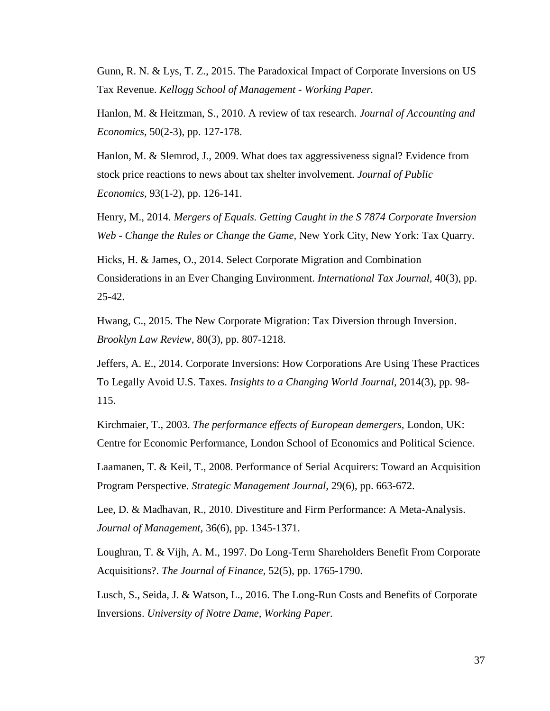Gunn, R. N. & Lys, T. Z., 2015. The Paradoxical Impact of Corporate Inversions on US Tax Revenue. *Kellogg School of Management - Working Paper.*

Hanlon, M. & Heitzman, S., 2010. A review of tax research. *Journal of Accounting and Economics,* 50(2-3), pp. 127-178.

Hanlon, M. & Slemrod, J., 2009. What does tax aggressiveness signal? Evidence from stock price reactions to news about tax shelter involvement. *Journal of Public Economics,* 93(1-2), pp. 126-141.

Henry, M., 2014. *Mergers of Equals. Getting Caught in the S 7874 Corporate Inversion Web - Change the Rules or Change the Game,* New York City, New York: Tax Quarry.

Hicks, H. & James, O., 2014. Select Corporate Migration and Combination Considerations in an Ever Changing Environment. *International Tax Journal,* 40(3), pp. 25-42.

Hwang, C., 2015. The New Corporate Migration: Tax Diversion through Inversion. *Brooklyn Law Review,* 80(3), pp. 807-1218.

Jeffers, A. E., 2014. Corporate Inversions: How Corporations Are Using These Practices To Legally Avoid U.S. Taxes. *Insights to a Changing World Journal,* 2014(3), pp. 98- 115.

Kirchmaier, T., 2003. *The performance effects of European demergers,* London, UK: Centre for Economic Performance, London School of Economics and Political Science.

Laamanen, T. & Keil, T., 2008. Performance of Serial Acquirers: Toward an Acquisition Program Perspective. *Strategic Management Journal,* 29(6), pp. 663-672.

Lee, D. & Madhavan, R., 2010. Divestiture and Firm Performance: A Meta-Analysis. *Journal of Management,* 36(6), pp. 1345-1371.

Loughran, T. & Vijh, A. M., 1997. Do Long-Term Shareholders Benefit From Corporate Acquisitions?. *The Journal of Finance,* 52(5), pp. 1765-1790.

Lusch, S., Seida, J. & Watson, L., 2016. The Long-Run Costs and Benefits of Corporate Inversions. *University of Notre Dame, Working Paper.*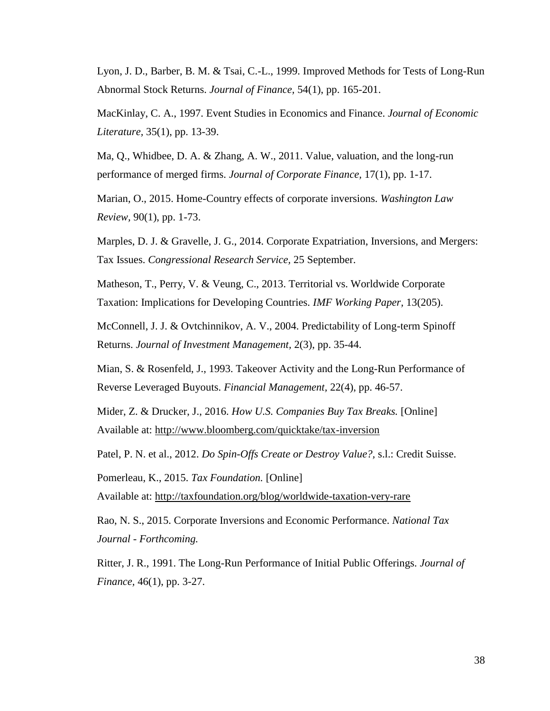Lyon, J. D., Barber, B. M. & Tsai, C.-L., 1999. Improved Methods for Tests of Long-Run Abnormal Stock Returns. *Journal of Finance,* 54(1), pp. 165-201.

MacKinlay, C. A., 1997. Event Studies in Economics and Finance. *Journal of Economic Literature,* 35(1), pp. 13-39.

Ma, Q., Whidbee, D. A. & Zhang, A. W., 2011. Value, valuation, and the long-run performance of merged firms. *Journal of Corporate Finance,* 17(1), pp. 1-17.

Marian, O., 2015. Home-Country effects of corporate inversions. *Washington Law Review,* 90(1), pp. 1-73.

Marples, D. J. & Gravelle, J. G., 2014. Corporate Expatriation, Inversions, and Mergers: Tax Issues. *Congressional Research Service,* 25 September.

Matheson, T., Perry, V. & Veung, C., 2013. Territorial vs. Worldwide Corporate Taxation: Implications for Developing Countries. *IMF Working Paper,* 13(205).

McConnell, J. J. & Ovtchinnikov, A. V., 2004. Predictability of Long-term Spinoff Returns. *Journal of Investment Management,* 2(3), pp. 35-44.

Mian, S. & Rosenfeld, J., 1993. Takeover Activity and the Long-Run Performance of Reverse Leveraged Buyouts. *Financial Management,* 22(4), pp. 46-57.

Mider, Z. & Drucker, J., 2016. *How U.S. Companies Buy Tax Breaks.* [Online] Available at: http://www.bloomberg.com/quicktake/tax-inversion

Patel, P. N. et al., 2012. *Do Spin-Offs Create or Destroy Value?,* s.l.: Credit Suisse.

Pomerleau, K., 2015. *Tax Foundation.* [Online]

Available at: http://taxfoundation.org/blog/worldwide-taxation-very-rare

Rao, N. S., 2015. Corporate Inversions and Economic Performance. *National Tax Journal - Forthcoming.*

Ritter, J. R., 1991. The Long-Run Performance of Initial Public Offerings. *Journal of Finance,* 46(1), pp. 3-27.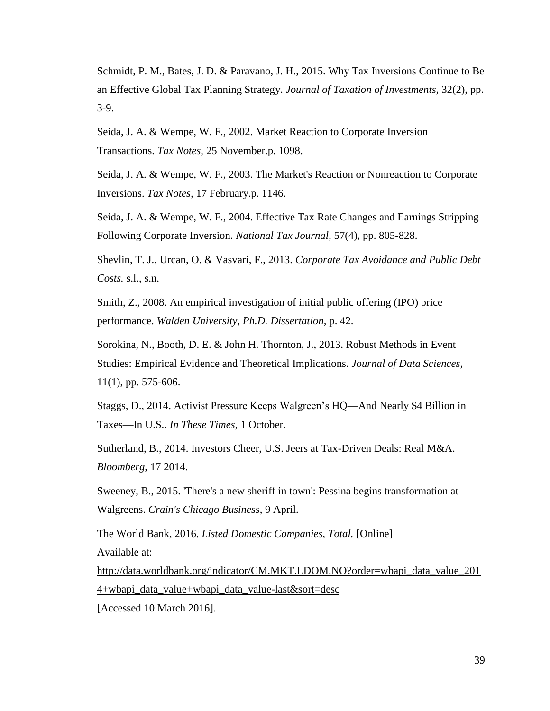Schmidt, P. M., Bates, J. D. & Paravano, J. H., 2015. Why Tax Inversions Continue to Be an Effective Global Tax Planning Strategy. *Journal of Taxation of Investments,* 32(2), pp. 3-9.

Seida, J. A. & Wempe, W. F., 2002. Market Reaction to Corporate Inversion Transactions. *Tax Notes,* 25 November.p. 1098.

Seida, J. A. & Wempe, W. F., 2003. The Market's Reaction or Nonreaction to Corporate Inversions. *Tax Notes,* 17 February.p. 1146.

Seida, J. A. & Wempe, W. F., 2004. Effective Tax Rate Changes and Earnings Stripping Following Corporate Inversion. *National Tax Journal,* 57(4), pp. 805-828.

Shevlin, T. J., Urcan, O. & Vasvari, F., 2013. *Corporate Tax Avoidance and Public Debt Costs.* s.l., s.n.

Smith, Z., 2008. An empirical investigation of initial public offering (IPO) price performance. *Walden University, Ph.D. Dissertation,* p. 42.

Sorokina, N., Booth, D. E. & John H. Thornton, J., 2013. Robust Methods in Event Studies: Empirical Evidence and Theoretical Implications. *Journal of Data Sciences,*  11(1), pp. 575-606.

Staggs, D., 2014. Activist Pressure Keeps Walgreen's HQ—And Nearly \$4 Billion in Taxes—In U.S.. *In These Times*, 1 October.

Sutherland, B., 2014. Investors Cheer, U.S. Jeers at Tax-Driven Deals: Real M&A. *Bloomberg*, 17 2014.

Sweeney, B., 2015. 'There's a new sheriff in town': Pessina begins transformation at Walgreens. *Crain's Chicago Business*, 9 April.

The World Bank, 2016. *Listed Domestic Companies, Total.* [Online] Available at:

http://data.worldbank.org/indicator/CM.MKT.LDOM.NO?order=wbapi\_data\_value\_201 4+wbapi\_data\_value+wbapi\_data\_value-last&sort=desc

[Accessed 10 March 2016].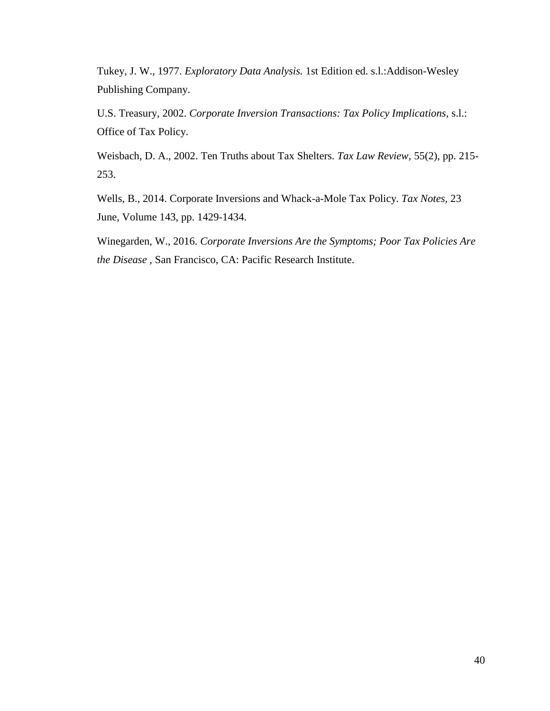Tukey, J. W., 1977. *Exploratory Data Analysis.* 1st Edition ed. s.l.:Addison-Wesley Publishing Company.

U.S. Treasury, 2002. *Corporate Inversion Transactions: Tax Policy Implications,* s.l.: Office of Tax Policy.

Weisbach, D. A., 2002. Ten Truths about Tax Shelters. *Tax Law Review,* 55(2), pp. 215- 253.

Wells, B., 2014. Corporate Inversions and Whack-a-Mole Tax Policy. *Tax Notes,* 23 June, Volume 143, pp. 1429-1434.

Winegarden, W., 2016. *Corporate Inversions Are the Symptoms; Poor Tax Policies Are the Disease ,* San Francisco, CA: Pacific Research Institute.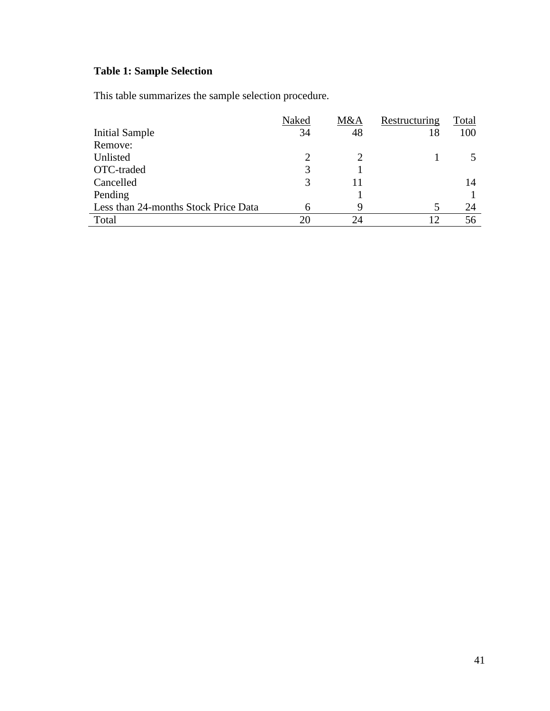# **Table 1: Sample Selection**

This table summarizes the sample selection procedure.

|                                      | Naked | M&A | Restructuring   | Total |
|--------------------------------------|-------|-----|-----------------|-------|
| Initial Sample                       | 34    | 48  | 18              | 100   |
| Remove:                              |       |     |                 |       |
| Unlisted                             | ∍     |     |                 |       |
| OTC-traded                           |       |     |                 |       |
| Cancelled                            | 3     |     |                 | 14    |
| Pending                              |       |     |                 |       |
| Less than 24-months Stock Price Data | h     | 9   |                 | 24    |
| Total                                |       | 7Δ  | $\overline{12}$ | 56    |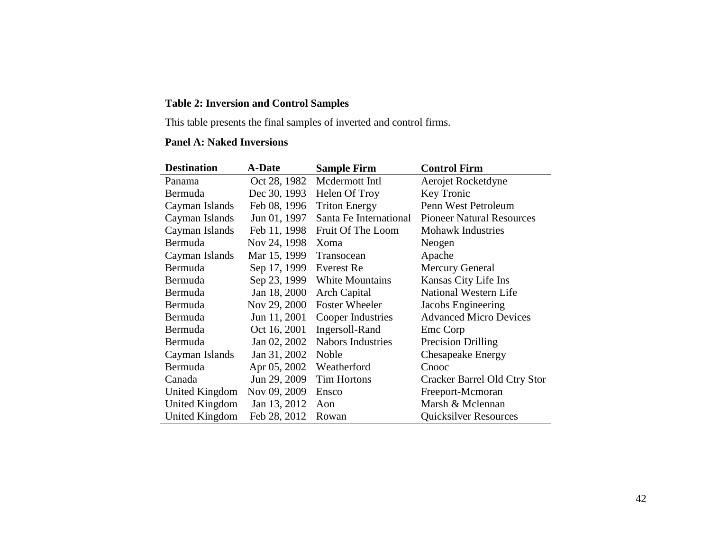# **Table 2: Inversion and Control Samples**

This table presents the final samples of inverted and control firms.

### **Panel A: Naked Inversions**

| <b>Destination</b> | <b>A-Date</b> | <b>Sample Firm</b>       | <b>Control Firm</b>              |
|--------------------|---------------|--------------------------|----------------------------------|
| Panama             | Oct 28, 1982  | Mcdermott Intl           | Aerojet Rocketdyne               |
| Bermuda            | Dec 30, 1993  | Helen Of Troy            | Key Tronic                       |
| Cayman Islands     | Feb 08, 1996  | <b>Triton Energy</b>     | Penn West Petroleum              |
| Cayman Islands     | Jun 01, 1997  | Santa Fe International   | <b>Pioneer Natural Resources</b> |
| Cayman Islands     | Feb 11, 1998  | Fruit Of The Loom        | <b>Mohawk Industries</b>         |
| Bermuda            | Nov 24, 1998  | Xoma                     | Neogen                           |
| Cayman Islands     | Mar 15, 1999  | Transocean               | Apache                           |
| Bermuda            | Sep 17, 1999  | Everest Re               | <b>Mercury General</b>           |
| Bermuda            | Sep 23, 1999  | White Mountains          | Kansas City Life Ins             |
| Bermuda            | Jan 18, 2000  | <b>Arch Capital</b>      | National Western Life            |
| Bermuda            | Nov 29, 2000  | <b>Foster Wheeler</b>    | Jacobs Engineering               |
| Bermuda            | Jun 11, 2001  | Cooper Industries        | <b>Advanced Micro Devices</b>    |
| Bermuda            | Oct 16, 2001  | Ingersoll-Rand           | Emc Corp                         |
| Bermuda            | Jan 02, 2002  | <b>Nabors Industries</b> | <b>Precision Drilling</b>        |
| Cayman Islands     | Jan 31, 2002  | Noble                    | <b>Chesapeake Energy</b>         |
| Bermuda            | Apr 05, 2002  | Weatherford              | Cnooc                            |
| Canada             | Jun 29, 2009  | <b>Tim Hortons</b>       | Cracker Barrel Old Ctry Stor     |
| United Kingdom     | Nov 09, 2009  | Ensco                    | Freeport-Mcmoran                 |
| United Kingdom     | Jan 13, 2012  | Aon                      | Marsh & Mclennan                 |
| United Kingdom     | Feb 28, 2012  | Rowan                    | <b>Quicksilver Resources</b>     |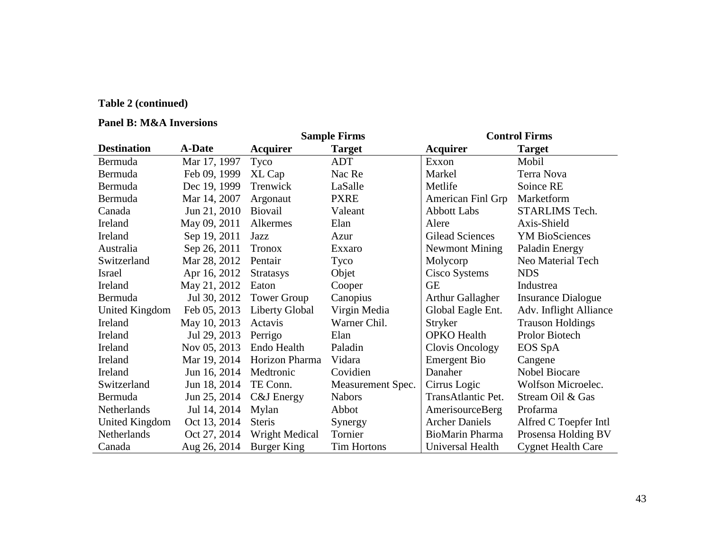# **Table 2 (continued)**

### **Panel B: M&A Inversions**

|                    |               |                    | <b>Sample Firms</b> | <b>Control Firms</b>    |                           |  |  |
|--------------------|---------------|--------------------|---------------------|-------------------------|---------------------------|--|--|
| <b>Destination</b> | <b>A-Date</b> | <b>Acquirer</b>    | <b>Target</b>       | <b>Acquirer</b>         | <b>Target</b>             |  |  |
| Bermuda            | Mar 17, 1997  | Tyco               | <b>ADT</b>          | Exxon                   | Mobil                     |  |  |
| Bermuda            | Feb 09, 1999  | XL Cap             | Nac Re              | Markel                  | Terra Nova                |  |  |
| Bermuda            | Dec 19, 1999  | Trenwick           | LaSalle             | Metlife                 | Soince RE                 |  |  |
| Bermuda            | Mar 14, 2007  | Argonaut           | <b>PXRE</b>         | American Finl Grp       | Marketform                |  |  |
| Canada             | Jun 21, 2010  | <b>Biovail</b>     | Valeant             | <b>Abbott Labs</b>      | STARLIMS Tech.            |  |  |
| Ireland            | May 09, 2011  | Alkermes           | Elan                | Alere                   | Axis-Shield               |  |  |
| Ireland            | Sep 19, 2011  | Jazz               | Azur                | Gilead Sciences         | <b>YM BioSciences</b>     |  |  |
| Australia          | Sep 26, 2011  | <b>Tronox</b>      | Exxaro              | Newmont Mining          | Paladin Energy            |  |  |
| Switzerland        | Mar 28, 2012  | Pentair            | Tyco                | Molycorp                | Neo Material Tech         |  |  |
| Israel             | Apr 16, 2012  | <b>Stratasys</b>   | Objet               | Cisco Systems           | <b>NDS</b>                |  |  |
| Ireland            | May 21, 2012  | Eaton              | Cooper              | <b>GE</b>               | Industrea                 |  |  |
| Bermuda            | Jul 30, 2012  | <b>Tower Group</b> | Canopius            | <b>Arthur Gallagher</b> | <b>Insurance Dialogue</b> |  |  |
| United Kingdom     | Feb 05, 2013  | Liberty Global     | Virgin Media        | Global Eagle Ent.       | Adv. Inflight Alliance    |  |  |
| Ireland            | May 10, 2013  | Actavis            | Warner Chil.        | <b>Stryker</b>          | <b>Trauson Holdings</b>   |  |  |
| Ireland            | Jul 29, 2013  | Perrigo            | Elan                | <b>OPKO</b> Health      | Prolor Biotech            |  |  |
| Ireland            | Nov 05, 2013  | Endo Health        | Paladin             | Clovis Oncology         | EOS SpA                   |  |  |
| Ireland            | Mar 19, 2014  | Horizon Pharma     | Vidara              | <b>Emergent Bio</b>     | Cangene                   |  |  |
| Ireland            | Jun 16, 2014  | Medtronic          | Covidien            | Danaher                 | <b>Nobel Biocare</b>      |  |  |
| Switzerland        | Jun 18, 2014  | TE Conn.           | Measurement Spec.   | Cirrus Logic            | Wolfson Microelec.        |  |  |
| Bermuda            | Jun 25, 2014  | C&J Energy         | <b>Nabors</b>       | TransAtlantic Pet.      | Stream Oil & Gas          |  |  |
| Netherlands        | Jul 14, 2014  | Mylan              | Abbot               | AmerisourceBerg         | Profarma                  |  |  |
| United Kingdom     | Oct 13, 2014  | <b>Steris</b>      | Synergy             | <b>Archer Daniels</b>   | Alfred C Toepfer Intl     |  |  |
| Netherlands        | Oct 27, 2014  | Wright Medical     | Tornier             | BioMarin Pharma         | Prosensa Holding BV       |  |  |
| Canada             | Aug 26, 2014  | Burger King        | <b>Tim Hortons</b>  | Universal Health        | <b>Cygnet Health Care</b> |  |  |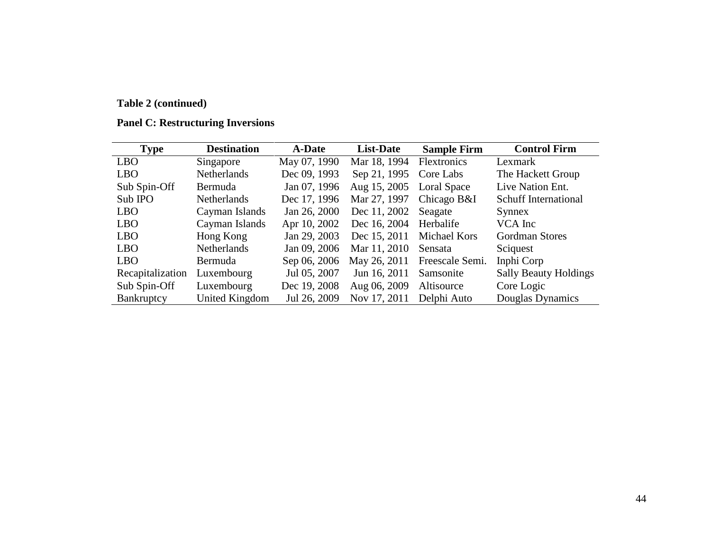# **Table 2 (continued)**

| <b>Type</b>      | <b>Destination</b>    | <b>A-Date</b> | <b>List-Date</b> | <b>Sample Firm</b>  | <b>Control Firm</b>          |
|------------------|-----------------------|---------------|------------------|---------------------|------------------------------|
| <b>LBO</b>       | Singapore             | May 07, 1990  | Mar 18, 1994     | Flextronics         | Lexmark                      |
| <b>LBO</b>       | Netherlands           | Dec 09, 1993  | Sep 21, 1995     | Core Labs           | The Hackett Group            |
| Sub Spin-Off     | Bermuda               | Jan 07, 1996  | Aug 15, 2005     | Loral Space         | Live Nation Ent.             |
| Sub IPO          | <b>Netherlands</b>    | Dec 17, 1996  | Mar 27, 1997     | Chicago B&I         | <b>Schuff International</b>  |
| <b>LBO</b>       | Cayman Islands        | Jan 26, 2000  | Dec 11, 2002     | Seagate             | Synnex                       |
| <b>LBO</b>       | Cayman Islands        | Apr 10, 2002  | Dec 16, 2004     | Herbalife           | VCA Inc                      |
| <b>LBO</b>       | Hong Kong             | Jan 29, 2003  | Dec 15, 2011     | <b>Michael Kors</b> | <b>Gordman Stores</b>        |
| <b>LBO</b>       | <b>Netherlands</b>    | Jan 09, 2006  | Mar 11, 2010     | Sensata             | Sciquest                     |
| <b>LBO</b>       | Bermuda               | Sep 06, 2006  | May 26, 2011     | Freescale Semi.     | Inphi Corp                   |
| Recapitalization | Luxembourg            | Jul 05, 2007  | Jun 16, 2011     | Samsonite           | <b>Sally Beauty Holdings</b> |
| Sub Spin-Off     | Luxembourg            | Dec 19, 2008  | Aug 06, 2009     | Altisource          | Core Logic                   |
| Bankruptcy       | <b>United Kingdom</b> | Jul 26, 2009  | Nov 17, 2011     | Delphi Auto         | Douglas Dynamics             |

# **Panel C: Restructuring Inversions**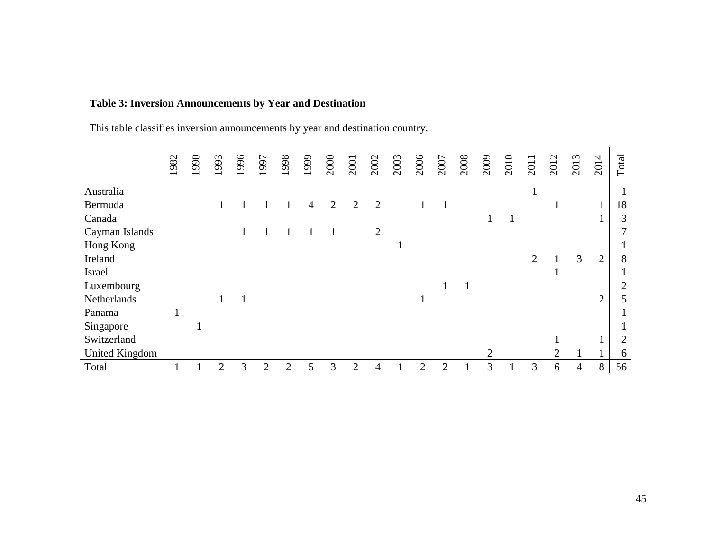# **Table 3: Inversion Announcements by Year and Destination**

This table classifies inversion announcements by year and destination country.

|                       | 1982 | 1990 | 1993 | 1996 | 1997                  | 1998           | 1999 | 2000 | 2001           | 2002           | 2003 | 2006           | 2007                        | 2008         | 2009 | 2010 | 2011           | 2012           | 2013           | 2014           | Total          |
|-----------------------|------|------|------|------|-----------------------|----------------|------|------|----------------|----------------|------|----------------|-----------------------------|--------------|------|------|----------------|----------------|----------------|----------------|----------------|
| Australia             |      |      |      |      |                       |                |      |      |                |                |      |                |                             |              |      |      |                |                |                |                |                |
| Bermuda               |      |      |      |      |                       |                | 4    | 2    | $\overline{2}$ | $\overline{2}$ |      | 1              | 1                           |              |      |      |                | $\bf{I}$       |                | $\mathbf{1}$   | 18             |
| Canada                |      |      |      |      |                       |                |      |      |                |                |      |                |                             |              |      |      |                |                |                |                | 3              |
| Cayman Islands        |      |      |      |      |                       |                |      |      |                | $\overline{2}$ |      |                |                             |              |      |      |                |                |                |                |                |
| Hong Kong             |      |      |      |      |                       |                |      |      |                |                | п    |                |                             |              |      |      |                |                |                |                |                |
| Ireland               |      |      |      |      |                       |                |      |      |                |                |      |                |                             |              |      |      | $\overline{2}$ |                | 3              | $\overline{2}$ | 8              |
| Israel                |      |      |      |      |                       |                |      |      |                |                |      |                |                             |              |      |      |                | $\bf{1}$       |                |                |                |
| Luxembourg            |      |      |      |      |                       |                |      |      |                |                |      |                | 1                           | $\mathbf{1}$ |      |      |                |                |                |                | $\overline{2}$ |
| Netherlands           |      |      |      |      |                       |                |      |      |                |                |      | $\mathbf{1}$   |                             |              |      |      |                |                |                | $\overline{2}$ | 5              |
| Panama                | 1    |      |      |      |                       |                |      |      |                |                |      |                |                             |              |      |      |                |                |                |                |                |
| Singapore             |      |      |      |      |                       |                |      |      |                |                |      |                |                             |              |      |      |                |                |                |                |                |
| Switzerland           |      |      |      |      |                       |                |      |      |                |                |      |                |                             |              |      |      |                | $\mathbf{1}$   |                | л              | $\overline{2}$ |
| <b>United Kingdom</b> |      |      |      |      |                       |                |      |      |                |                |      |                |                             |              |      |      |                | $\overline{2}$ |                | 1<br>1         | 6              |
| Total                 |      |      | 2    | 3    | $\mathcal{D}_{\cdot}$ | $\overline{2}$ | 5    | 3    | $\overline{2}$ | $\overline{4}$ |      | $\overline{2}$ | $\mathcal{D}_{\mathcal{L}}$ |              | 3    |      | 3              | 6              | $\overline{4}$ | 8              | 56             |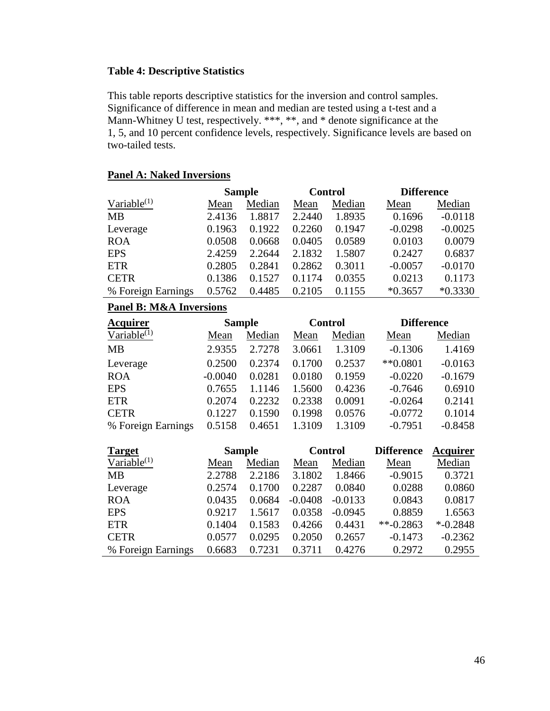### **Table 4: Descriptive Statistics**

This table reports descriptive statistics for the inversion and control samples. Significance of difference in mean and median are tested using a t-test and a Mann-Whitney U test, respectively. \*\*\*, \*\*, and \* denote significance at the 1, 5, and 10 percent confidence levels, respectively. Significance levels are based on two-tailed tests.

### **Panel A: Naked Inversions**

|                    |        | <b>Sample</b> |        | <b>Control</b> | <b>Difference</b> |           |  |  |
|--------------------|--------|---------------|--------|----------------|-------------------|-----------|--|--|
| Variable $(1)$     | Mean   | Median        | Mean   | Median         | Mean              | Median    |  |  |
| <b>MB</b>          | 2.4136 | 1.8817        | 2.2440 | 1.8935         | 0.1696            | $-0.0118$ |  |  |
| Leverage           | 0.1963 | 0.1922        | 0.2260 | 0.1947         | $-0.0298$         | $-0.0025$ |  |  |
| <b>ROA</b>         | 0.0508 | 0.0668        | 0.0405 | 0.0589         | 0.0103            | 0.0079    |  |  |
| <b>EPS</b>         | 2.4259 | 2.2644        | 2.1832 | 1.5807         | 0.2427            | 0.6837    |  |  |
| <b>ETR</b>         | 0.2805 | 0.2841        | 0.2862 | 0.3011         | $-0.0057$         | $-0.0170$ |  |  |
| <b>CETR</b>        | 0.1386 | 0.1527        | 0.1174 | 0.0355         | 0.0213            | 0.1173    |  |  |
| % Foreign Earnings | 0.5762 | 0.4485        | 0.2105 | 0.1155         | $*0.3657$         | $*0.3330$ |  |  |
|                    |        |               |        |                |                   |           |  |  |

### **Panel B: M&A Inversions**

| <b>Acquirer</b>    | <b>Sample</b> |        |        | <b>Control</b> | <b>Difference</b> |           |  |
|--------------------|---------------|--------|--------|----------------|-------------------|-----------|--|
| Variable $^{(1)}$  | Mean          | Median | Mean   | Median         | Mean              | Median    |  |
| <b>MB</b>          | 2.9355        | 2.7278 | 3.0661 | 1.3109         | $-0.1306$         | 1.4169    |  |
| Leverage           | 0.2500        | 0.2374 | 0.1700 | 0.2537         | $*$ *0.0801       | $-0.0163$ |  |
| <b>ROA</b>         | $-0.0040$     | 0.0281 | 0.0180 | 0.1959         | $-0.0220$         | $-0.1679$ |  |
| <b>EPS</b>         | 0.7655        | 1.1146 | 1.5600 | 0.4236         | $-0.7646$         | 0.6910    |  |
| <b>ETR</b>         | 0.2074        | 0.2232 | 0.2338 | 0.0091         | $-0.0264$         | 0.2141    |  |
| <b>CETR</b>        | 0.1227        | 0.1590 | 0.1998 | 0.0576         | $-0.0772$         | 0.1014    |  |
| % Foreign Earnings | 0.5158        | 0.4651 | 1.3109 | 1.3109         | $-0.7951$         | $-0.8458$ |  |

| <b>Target</b>      | <b>Sample</b> |        | <b>Control</b> |           | <b>Difference</b> | Acquirer    |
|--------------------|---------------|--------|----------------|-----------|-------------------|-------------|
| Variable $(1)$     | Mean          | Median | Mean           | Median    | Mean              | Median      |
| <b>MB</b>          | 2.2788        | 2.2186 | 3.1802         | 1.8466    | $-0.9015$         | 0.3721      |
| Leverage           | 0.2574        | 0.1700 | 0.2287         | 0.0840    | 0.0288            | 0.0860      |
| <b>ROA</b>         | 0.0435        | 0.0684 | $-0.0408$      | $-0.0133$ | 0.0843            | 0.0817      |
| <b>EPS</b>         | 0.9217        | 1.5617 | 0.0358         | $-0.0945$ | 0.8859            | 1.6563      |
| <b>ETR</b>         | 0.1404        | 0.1583 | 0.4266         | 0.4431    | $**-0.2863$       | $*$ -0.2848 |
| <b>CETR</b>        | 0.0577        | 0.0295 | 0.2050         | 0.2657    | $-0.1473$         | $-0.2362$   |
| % Foreign Earnings | 0.6683        | 0.7231 | 0.3711         | 0.4276    | 0.2972            | 0.2955      |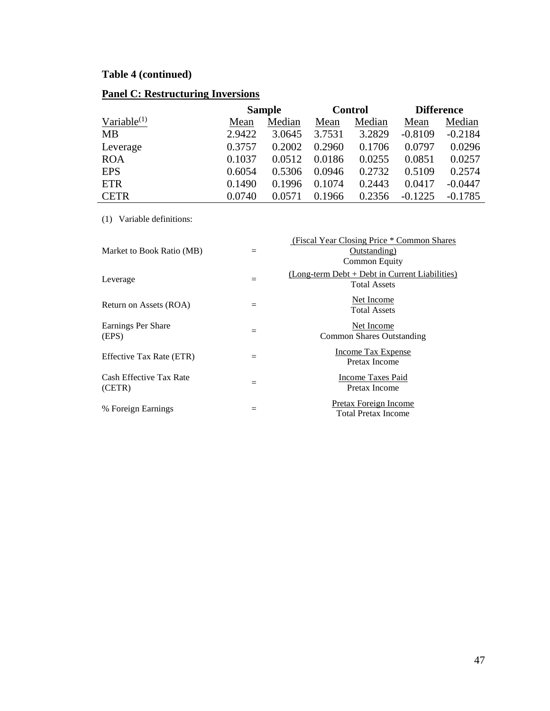# **Table 4 (continued)**

# **Panel C: Restructuring Inversions**

|                | <b>Sample</b> |        |        | <b>Control</b> | <b>Difference</b> |           |
|----------------|---------------|--------|--------|----------------|-------------------|-----------|
| Variable $(1)$ | Mean          | Median | Mean   | Median         | Mean              | Median    |
| MВ             | 2.9422        | 3.0645 | 3.7531 | 3.2829         | $-0.8109$         | $-0.2184$ |
| Leverage       | 0.3757        | 0.2002 | 0.2960 | 0.1706         | 0.0797            | 0.0296    |
| <b>ROA</b>     | 0.1037        | 0.0512 | 0.0186 | 0.0255         | 0.0851            | 0.0257    |
| <b>EPS</b>     | 0.6054        | 0.5306 | 0.0946 | 0.2732         | 0.5109            | 0.2574    |
| <b>ETR</b>     | 0.1490        | 0.1996 | 0.1074 | 0.2443         | 0.0417            | $-0.0447$ |
| <b>CETR</b>    | 0.0740        | 0.0571 | 0.1966 | 0.2356         | $-0.1225$         | $-0.1785$ |

(1) Variable definitions:

| Market to Book Ratio (MB)         | $=$ | (Fiscal Year Closing Price * Common Shares)<br>Outstanding)<br><b>Common Equity</b> |
|-----------------------------------|-----|-------------------------------------------------------------------------------------|
| Leverage                          | $=$ | $(Long-term Det + Det in Current Liabilities)$<br><b>Total Assets</b>               |
| Return on Assets (ROA)            | $=$ | Net Income<br><b>Total Assets</b>                                                   |
| Earnings Per Share<br>(EPS)       | $=$ | Net Income<br><b>Common Shares Outstanding</b>                                      |
| Effective Tax Rate (ETR)          | $=$ | Income Tax Expense<br>Pretax Income                                                 |
| Cash Effective Tax Rate<br>(CETR) | $=$ | <b>Income Taxes Paid</b><br>Pretax Income                                           |
| % Foreign Earnings                | $=$ | <b>Pretax Foreign Income</b><br>Total Pretax Income                                 |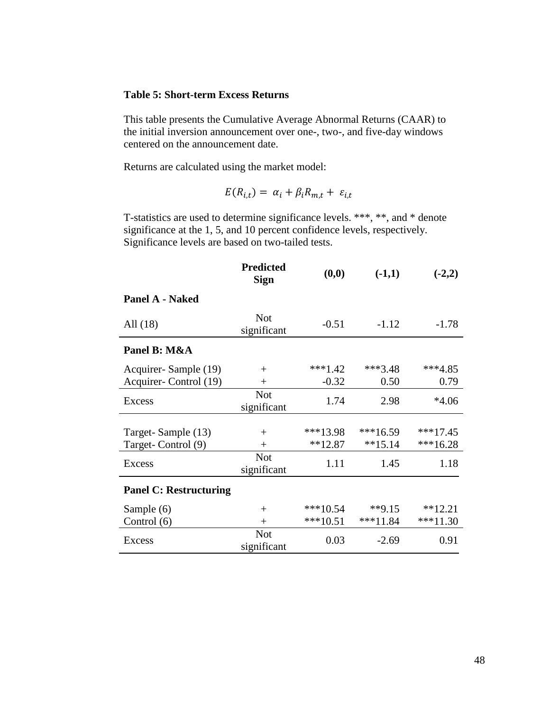### **Table 5: Short-term Excess Returns**

This table presents the Cumulative Average Abnormal Returns (CAAR) to the initial inversion announcement over one-, two-, and five-day windows centered on the announcement date.

Returns are calculated using the market model:

$$
E(R_{i,t}) = \alpha_i + \beta_i R_{m,t} + \varepsilon_{i,t}
$$

T-statistics are used to determine significance levels. \*\*\*, \*\*, and \* denote significance at the 1, 5, and 10 percent confidence levels, respectively. Significance levels are based on two-tailed tests.

|                               | <b>Predicted</b><br><b>Sign</b> | (0, 0)     | $(-1,1)$   | $(-2,2)$   |
|-------------------------------|---------------------------------|------------|------------|------------|
| Panel A - Naked               |                                 |            |            |            |
| All $(18)$                    | <b>Not</b><br>significant       | $-0.51$    | $-1.12$    | $-1.78$    |
| Panel B: M&A                  |                                 |            |            |            |
| Acquirer-Sample (19)          | $+$                             | $***1.42$  | $***3.48$  | $***4.85$  |
| Acquirer-Control (19)         | $^{+}$                          | $-0.32$    | 0.50       | 0.79       |
| Excess                        | <b>Not</b><br>significant       | 1.74       | 2.98       | $*4.06$    |
|                               |                                 |            |            |            |
| Target-Sample (13)            | $+$                             | $***13.98$ | $***16.59$ | $***17.45$ |
| Target-Control (9)            | $+$                             | $**12.87$  | $**15.14$  | $***16.28$ |
| <b>Excess</b>                 | <b>Not</b><br>significant       | 1.11       | 1.45       | 1.18       |
| <b>Panel C: Restructuring</b> |                                 |            |            |            |
| Sample (6)                    | $^{+}$                          | $***10.54$ | **9.15     | $**12.21$  |
| Control (6)                   | $^{+}$                          | $***10.51$ | $***11.84$ | $***11.30$ |
| Excess                        | <b>Not</b><br>significant       | 0.03       | $-2.69$    | 0.91       |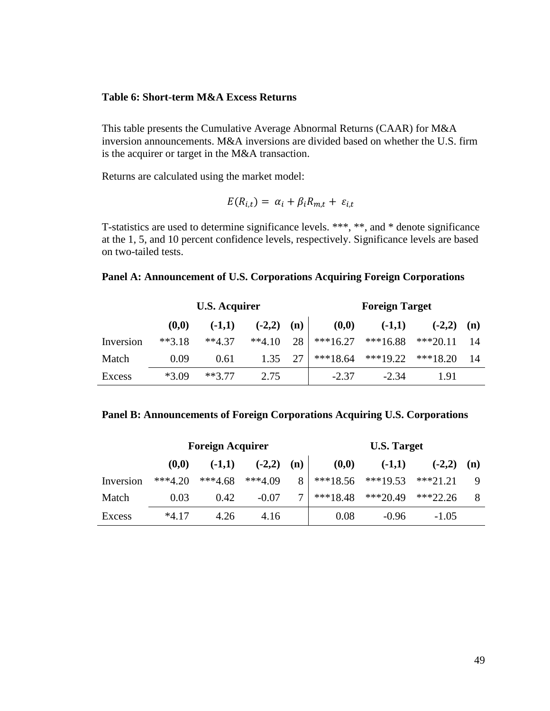#### **Table 6: Short-term M&A Excess Returns**

This table presents the Cumulative Average Abnormal Returns (CAAR) for M&A inversion announcements. M&A inversions are divided based on whether the U.S. firm is the acquirer or target in the M&A transaction.

Returns are calculated using the market model:

$$
E(R_{i,t}) = \alpha_i + \beta_i R_{m,t} + \varepsilon_{i,t}
$$

T-statistics are used to determine significance levels. \*\*\*, \*\*, and \* denote significance at the 1, 5, and 10 percent confidence levels, respectively. Significance levels are based on two-tailed tests.

#### **Panel A: Announcement of U.S. Corporations Acquiring Foreign Corporations**

|           | <b>U.S. Acquirer</b> |          |          |     | <b>Foreign Target</b> |            |            |     |
|-----------|----------------------|----------|----------|-----|-----------------------|------------|------------|-----|
|           | (0,0)                | $(-1,1)$ | $(-2,2)$ | (n) | (0,0)                 | $(-1,1)$   | $(-2,2)$   | (n) |
| Inversion | $**3.18$             | $**4.37$ | $**4.10$ | 28  | $***16.27$            | $***16.88$ | $***20.11$ |     |
| Match     | 0.09                 | 0.61     | 1.35     | 27  | $***18.64$            | $***19.22$ | $***18.20$ |     |
| Excess    | $*3.09$              | $**377$  | 2.75     |     | $-2.37$               | $-2.34$    | 1.91       |     |

#### **Panel B: Announcements of Foreign Corporations Acquiring U.S. Corporations**

|           |           | <b>Foreign Acquirer</b> |           |        | <b>U.S. Target</b> |            |            |     |
|-----------|-----------|-------------------------|-----------|--------|--------------------|------------|------------|-----|
|           | (0,0)     | $(-1,1)$                | $(-2,2)$  | (n)    | (0,0)              | $(-1,1)$   | $(-2,2)$   | (n) |
| Inversion | $***4.20$ | $***4.68$               | $***4.09$ | 8      | $***18.56$         | $***19.53$ | $***21.21$ |     |
| Match     | 0.03      | 0.42                    | $-0.07$   | $\tau$ | $***18.48$         | $***20.49$ | $***22.26$ |     |
| Excess    | $*4.17$   | 4.26                    | 4.16      |        | 0.08               | $-0.96$    | $-1.05$    |     |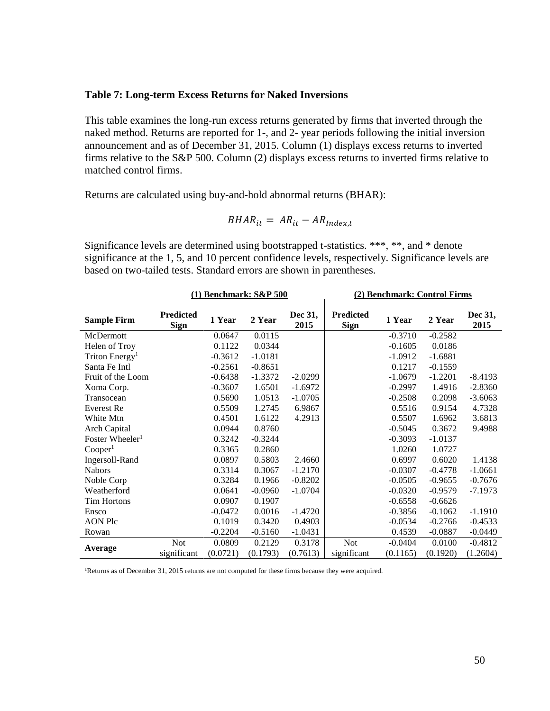### **Table 7: Long-term Excess Returns for Naked Inversions**

This table examines the long-run excess returns generated by firms that inverted through the naked method. Returns are reported for 1-, and 2- year periods following the initial inversion announcement and as of December 31, 2015. Column (1) displays excess returns to inverted firms relative to the S&P 500. Column (2) displays excess returns to inverted firms relative to matched control firms.

Returns are calculated using buy-and-hold abnormal returns (BHAR):

$$
BHAR_{it} = AR_{it} - AR_{Index,t}
$$

Significance levels are determined using bootstrapped t-statistics. \*\*\*, \*\*, and \* denote significance at the 1, 5, and 10 percent confidence levels, respectively. Significance levels are based on two-tailed tests. Standard errors are shown in parentheses.

|                             |                                 | $(1)$ Benchmark: $S\&P 500$ |           |                 | (2) Benchmark: Control Firms    |           |           |                 |  |
|-----------------------------|---------------------------------|-----------------------------|-----------|-----------------|---------------------------------|-----------|-----------|-----------------|--|
| <b>Sample Firm</b>          | <b>Predicted</b><br><b>Sign</b> | 1 Year                      | 2 Year    | Dec 31,<br>2015 | <b>Predicted</b><br><b>Sign</b> | 1 Year    | 2 Year    | Dec 31,<br>2015 |  |
| McDermott                   |                                 | 0.0647                      | 0.0115    |                 |                                 | $-0.3710$ | $-0.2582$ |                 |  |
| Helen of Troy               |                                 | 0.1122                      | 0.0344    |                 |                                 | $-0.1605$ | 0.0186    |                 |  |
| Triton Energy <sup>1</sup>  |                                 | $-0.3612$                   | $-1.0181$ |                 |                                 | $-1.0912$ | $-1.6881$ |                 |  |
| Santa Fe Intl               |                                 | $-0.2561$                   | $-0.8651$ |                 |                                 | 0.1217    | $-0.1559$ |                 |  |
| Fruit of the Loom           |                                 | $-0.6438$                   | $-1.3372$ | $-2.0299$       |                                 | $-1.0679$ | $-1.2201$ | $-8.4193$       |  |
| Xoma Corp.                  |                                 | $-0.3607$                   | 1.6501    | $-1.6972$       |                                 | $-0.2997$ | 1.4916    | $-2.8360$       |  |
| Transocean                  |                                 | 0.5690                      | 1.0513    | $-1.0705$       |                                 | $-0.2508$ | 0.2098    | $-3.6063$       |  |
| Everest Re                  |                                 | 0.5509                      | 1.2745    | 6.9867          |                                 | 0.5516    | 0.9154    | 4.7328          |  |
| White Mtn                   |                                 | 0.4501                      | 1.6122    | 4.2913          |                                 | 0.5507    | 1.6962    | 3.6813          |  |
| Arch Capital                |                                 | 0.0944                      | 0.8760    |                 |                                 | $-0.5045$ | 0.3672    | 9.4988          |  |
| Foster Wheeler <sup>1</sup> |                                 | 0.3242                      | $-0.3244$ |                 |                                 | $-0.3093$ | $-1.0137$ |                 |  |
| Cooper <sup>1</sup>         |                                 | 0.3365                      | 0.2860    |                 |                                 | 1.0260    | 1.0727    |                 |  |
| Ingersoll-Rand              |                                 | 0.0897                      | 0.5803    | 2.4660          |                                 | 0.6997    | 0.6020    | 1.4138          |  |
| <b>Nabors</b>               |                                 | 0.3314                      | 0.3067    | $-1.2170$       |                                 | $-0.0307$ | $-0.4778$ | $-1.0661$       |  |
| Noble Corp                  |                                 | 0.3284                      | 0.1966    | $-0.8202$       |                                 | $-0.0505$ | $-0.9655$ | $-0.7676$       |  |
| Weatherford                 |                                 | 0.0641                      | -0.0960   | $-1.0704$       |                                 | $-0.0320$ | $-0.9579$ | $-7.1973$       |  |
| <b>Tim Hortons</b>          |                                 | 0.0907                      | 0.1907    |                 |                                 | $-0.6558$ | $-0.6626$ |                 |  |
| Ensco                       |                                 | $-0.0472$                   | 0.0016    | $-1.4720$       |                                 | $-0.3856$ | $-0.1062$ | $-1.1910$       |  |
| AON Plc                     |                                 | 0.1019                      | 0.3420    | 0.4903          |                                 | $-0.0534$ | $-0.2766$ | $-0.4533$       |  |
| Rowan                       |                                 | $-0.2204$                   | $-0.5160$ | $-1.0431$       |                                 | 0.4539    | $-0.0887$ | $-0.0449$       |  |
|                             | Not                             | 0.0809                      | 0.2129    | 0.3178          | <b>Not</b>                      | $-0.0404$ | 0.0100    | $-0.4812$       |  |
| Average                     | significant                     | (0.0721)                    | (0.1793)  | (0.7613)        | significant                     | (0.1165)  | (0.1920)  | (1.2604)        |  |

<sup>1</sup>Returns as of December 31, 2015 returns are not computed for these firms because they were acquired.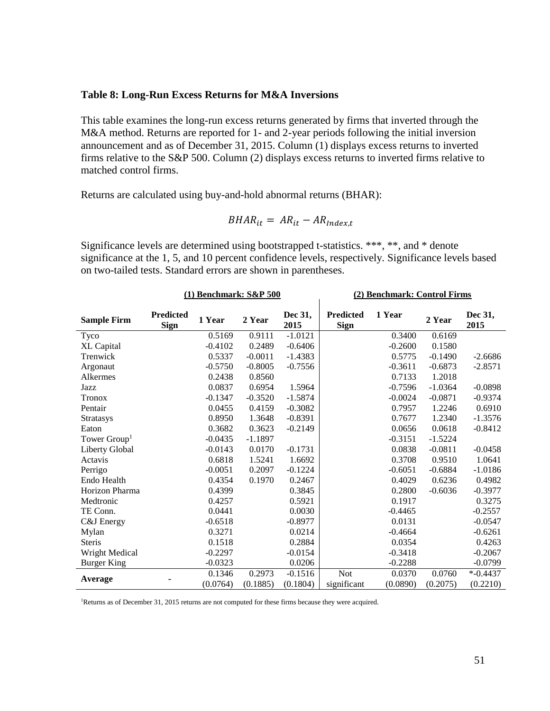#### **Table 8: Long-Run Excess Returns for M&A Inversions**

This table examines the long-run excess returns generated by firms that inverted through the M&A method. Returns are reported for 1- and 2-year periods following the initial inversion announcement and as of December 31, 2015. Column (1) displays excess returns to inverted firms relative to the S&P 500. Column (2) displays excess returns to inverted firms relative to matched control firms.

Returns are calculated using buy-and-hold abnormal returns (BHAR):

$$
BHAR_{it} = AR_{it} - AR_{Index,t}
$$

Significance levels are determined using bootstrapped t-statistics. \*\*\*, \*\*, and \* denote significance at the 1, 5, and 10 percent confidence levels, respectively. Significance levels based on two-tailed tests. Standard errors are shown in parentheses.

|                          |                          | $(1)$ Benchmark: $S\&P 500$ |           |                 | (2) Benchmark: Control Firms    |           |           |                 |  |
|--------------------------|--------------------------|-----------------------------|-----------|-----------------|---------------------------------|-----------|-----------|-----------------|--|
| <b>Sample Firm</b>       | Predicted<br><b>Sign</b> | 1 Year                      | 2 Year    | Dec 31,<br>2015 | <b>Predicted</b><br><b>Sign</b> | 1 Year    | 2 Year    | Dec 31,<br>2015 |  |
| Tyco                     |                          | 0.5169                      | 0.9111    | $-1.0121$       |                                 | 0.3400    | 0.6169    |                 |  |
| <b>XL</b> Capital        |                          | $-0.4102$                   | 0.2489    | $-0.6406$       |                                 | $-0.2600$ | 0.1580    |                 |  |
| Trenwick                 |                          | 0.5337                      | $-0.0011$ | $-1.4383$       |                                 | 0.5775    | $-0.1490$ | $-2.6686$       |  |
| Argonaut                 |                          | $-0.5750$                   | $-0.8005$ | $-0.7556$       |                                 | $-0.3611$ | $-0.6873$ | $-2.8571$       |  |
| Alkermes                 |                          | 0.2438                      | 0.8560    |                 |                                 | 0.7133    | 1.2018    |                 |  |
| Jazz                     |                          | 0.0837                      | 0.6954    | 1.5964          |                                 | $-0.7596$ | $-1.0364$ | $-0.0898$       |  |
| <b>Tronox</b>            |                          | $-0.1347$                   | $-0.3520$ | $-1.5874$       |                                 | $-0.0024$ | $-0.0871$ | $-0.9374$       |  |
| Pentair                  |                          | 0.0455                      | 0.4159    | $-0.3082$       |                                 | 0.7957    | 1.2246    | 0.6910          |  |
| <b>Stratasys</b>         |                          | 0.8950                      | 1.3648    | $-0.8391$       |                                 | 0.7677    | 1.2340    | $-1.3576$       |  |
| Eaton                    |                          | 0.3682                      | 0.3623    | $-0.2149$       |                                 | 0.0656    | 0.0618    | $-0.8412$       |  |
| Tower Group <sup>1</sup> |                          | $-0.0435$                   | $-1.1897$ |                 |                                 | $-0.3151$ | $-1.5224$ |                 |  |
| Liberty Global           |                          | $-0.0143$                   | 0.0170    | $-0.1731$       |                                 | 0.0838    | $-0.0811$ | $-0.0458$       |  |
| Actavis                  |                          | 0.6818                      | 1.5241    | 1.6692          |                                 | 0.3708    | 0.9510    | 1.0641          |  |
| Perrigo                  |                          | $-0.0051$                   | 0.2097    | $-0.1224$       |                                 | $-0.6051$ | $-0.6884$ | $-1.0186$       |  |
| Endo Health              |                          | 0.4354                      | 0.1970    | 0.2467          |                                 | 0.4029    | 0.6236    | 0.4982          |  |
| Horizon Pharma           |                          | 0.4399                      |           | 0.3845          |                                 | 0.2800    | $-0.6036$ | $-0.3977$       |  |
| Medtronic                |                          | 0.4257                      |           | 0.5921          |                                 | 0.1917    |           | 0.3275          |  |
| TE Conn.                 |                          | 0.0441                      |           | 0.0030          |                                 | $-0.4465$ |           | $-0.2557$       |  |
| C&J Energy               |                          | $-0.6518$                   |           | $-0.8977$       |                                 | 0.0131    |           | $-0.0547$       |  |
| Mylan                    |                          | 0.3271                      |           | 0.0214          |                                 | $-0.4664$ |           | $-0.6261$       |  |
| <b>Steris</b>            |                          | 0.1518                      |           | 0.2884          |                                 | 0.0354    |           | 0.4263          |  |
| Wright Medical           |                          | $-0.2297$                   |           | $-0.0154$       |                                 | $-0.3418$ |           | $-0.2067$       |  |
| <b>Burger King</b>       |                          | $-0.0323$                   |           | 0.0206          |                                 | $-0.2288$ |           | $-0.0799$       |  |
|                          |                          | 0.1346                      | 0.2973    | $-0.1516$       | <b>Not</b>                      | 0.0370    | 0.0760    | $* -0.4437$     |  |
| Average                  |                          | (0.0764)                    | (0.1885)  | (0.1804)        | significant                     | (0.0890)  | (0.2075)  | (0.2210)        |  |

<sup>1</sup>Returns as of December 31, 2015 returns are not computed for these firms because they were acquired.